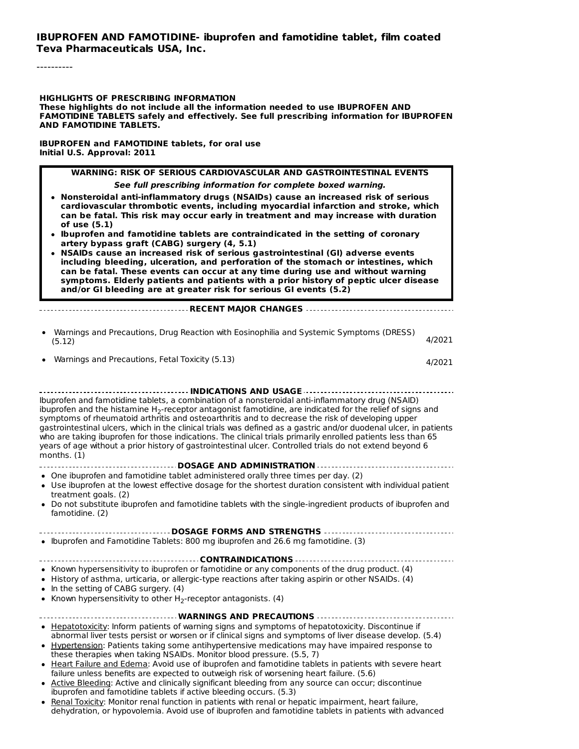#### **IBUPROFEN AND FAMOTIDINE- ibuprofen and famotidine tablet, film coated Teva Pharmaceuticals USA, Inc.**

----------

**HIGHLIGHTS OF PRESCRIBING INFORMATION**

**These highlights do not include all the information needed to use IBUPROFEN AND FAMOTIDINE TABLETS safely and effectively. See full prescribing information for IBUPROFEN AND FAMOTIDINE TABLETS.**

**IBUPROFEN and FAMOTIDINE tablets, for oral use Initial U.S. Approval: 2011**

> **WARNING: RISK OF SERIOUS CARDIOVASCULAR AND GASTROINTESTINAL EVENTS See full prescribing information for complete boxed warning.**

- **Nonsteroidal anti-inflammatory drugs (NSAIDs) cause an increased risk of serious cardiovascular thrombotic events, including myocardial infarction and stroke, which can be fatal. This risk may occur early in treatment and may increase with duration of use (5.1)**
- **Ibuprofen and famotidine tablets are contraindicated in the setting of coronary artery bypass graft (CABG) surgery (4, 5.1)**
- **NSAIDs cause an increased risk of serious gastrointestinal (GI) adverse events including bleeding, ulceration, and perforation of the stomach or intestines, which can be fatal. These events can occur at any time during use and without warning symptoms. Elderly patients and patients with a prior history of peptic ulcer disease and/or GI bleeding are at greater risk for serious GI events (5.2)**

**RECENT MAJOR CHANGES**

| Warnings and Precautions, Drug Reaction with Eosinophilia and Systemic Symptoms (DRESS) |        |
|-----------------------------------------------------------------------------------------|--------|
| (5.12)                                                                                  | 4/2021 |

Warnings and Precautions, Fetal Toxicity (5.13) 4/2021

**INDICATIONS AND USAGE** Ibuprofen and famotidine tablets, a combination of a nonsteroidal anti-inflammatory drug (NSAID) ibuprofen and the histamine H<sub>2</sub>-receptor antagonist famotidine, are indicated for the relief of signs and symptoms of rheumatoid arthritis and osteoarthritis and to decrease the risk of developing upper gastrointestinal ulcers, which in the clinical trials was defined as a gastric and/or duodenal ulcer, in patients who are taking ibuprofen for those indications. The clinical trials primarily enrolled patients less than 65 years of age without a prior history of gastrointestinal ulcer. Controlled trials do not extend beyond 6 months. (1)

- **DOSAGE AND ADMINISTRATION**
- One ibuprofen and famotidine tablet administered orally three times per day. (2)
- Use ibuprofen at the lowest effective dosage for the shortest duration consistent with individual patient treatment goals. (2)
- Do not substitute ibuprofen and famotidine tablets with the single-ingredient products of ibuprofen and famotidine. (2)

#### **DOSAGE FORMS AND STRENGTHS**

Ibuprofen and Famotidine Tablets: 800 mg ibuprofen and 26.6 mg famotidine. (3)

#### -------------------------------CONTRAINDICATIONS --------------------------------. . . . . . . . . . . .

- Known hypersensitivity to ibuprofen or famotidine or any components of the drug product. (4)
- History of asthma, urticaria, or allergic-type reactions after taking aspirin or other NSAIDs. (4)
- $\bullet$  In the setting of CABG surgery. (4)
- Known hypersensitivity to other  $H_2$ -receptor antagonists. (4)

| Hepatotoxicity: Inform patients of warning signs and symptoms of hepatotoxicity. Discontinue if          |
|----------------------------------------------------------------------------------------------------------|
| abnormal liver tests persist or worsen or if clinical signs and symptoms of liver disease develop. (5.4) |
| Hypertension: Patients taking some antihypertensive medications may have impaired response to            |

- these therapies when taking NSAIDs. Monitor blood pressure. (5.5, 7) Heart Failure and Edema: Avoid use of ibuprofen and famotidine tablets in patients with severe heart
	- failure unless benefits are expected to outweigh risk of worsening heart failure. (5.6)
- Active Bleeding: Active and clinically significant bleeding from any source can occur; discontinue ibuprofen and famotidine tablets if active bleeding occurs. (5.3)
- Renal Toxicity: Monitor renal function in patients with renal or hepatic impairment, heart failure, dehydration, or hypovolemia. Avoid use of ibuprofen and famotidine tablets in patients with advanced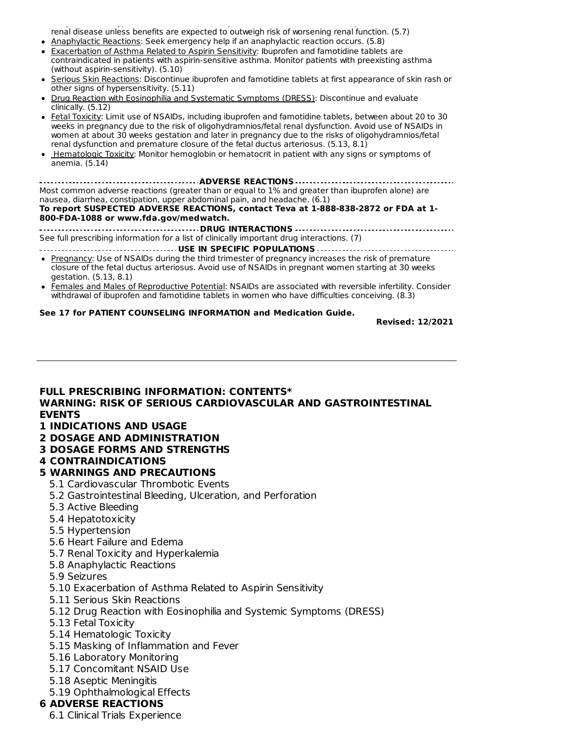dehydration, or hypovolemia. Avoid use of ibuprofen and famotidine tablets in patients with advanced renal disease unless benefits are expected to outweigh risk of worsening renal function. (5.7) • Anaphylactic Reactions: Seek emergency help if an anaphylactic reaction occurs. (5.8)

- Exacerbation of Asthma Related to Aspirin Sensitivity: Ibuprofen and famotidine tablets are contraindicated in patients with aspirin-sensitive asthma. Monitor patients with preexisting asthma (without aspirin-sensitivity). (5.10)
- Serious Skin Reactions: Discontinue ibuprofen and famotidine tablets at first appearance of skin rash or other signs of hypersensitivity. (5.11)
- Drug Reaction with Eosinophilia and Systematic Symptoms (DRESS): Discontinue and evaluate clinically. (5.12)
- Fetal Toxicity: Limit use of NSAIDs, including ibuprofen and famotidine tablets, between about 20 to 30 weeks in pregnancy due to the risk of oligohydramnios/fetal renal dysfunction. Avoid use of NSAIDs in women at about 30 weeks gestation and later in pregnancy due to the risks of oligohydramnios/fetal renal dysfunction and premature closure of the fetal ductus arteriosus. (5.13, 8.1)
- Hematologic Toxicity: Monitor hemoglobin or hematocrit in patient with any signs or symptoms of anemia. (5.14)

**ADVERSE REACTIONS** Most common adverse reactions (greater than or equal to 1% and greater than ibuprofen alone) are nausea, diarrhea, constipation, upper abdominal pain, and headache. (6.1) **To report SUSPECTED ADVERSE REACTIONS, contact Teva at 1-888-838-2872 or FDA at 1- 800-FDA-1088 or www.fda.gov/medwatch.**

**DRUG INTERACTIONS** See full prescribing information for a list of clinically important drug interactions. (7)

- **USE IN SPECIFIC POPULATIONS**
- **Pregnancy: Use of NSAIDs during the third trimester of pregnancy increases the risk of premature** closure of the fetal ductus arteriosus. Avoid use of NSAIDs in pregnant women starting at 30 weeks gestation. (5.13, 8.1)
- Females and Males of Reproductive Potential: NSAIDs are associated with reversible infertility. Consider withdrawal of ibuprofen and famotidine tablets in women who have difficulties conceiving. (8.3)

#### **See 17 for PATIENT COUNSELING INFORMATION and Medication Guide.**

**Revised: 12/2021**

#### **FULL PRESCRIBING INFORMATION: CONTENTS\* WARNING: RISK OF SERIOUS CARDIOVASCULAR AND GASTROINTESTINAL EVENTS 1 INDICATIONS AND USAGE**

- **2 DOSAGE AND ADMINISTRATION**
- 
- **3 DOSAGE FORMS AND STRENGTHS**

#### **4 CONTRAINDICATIONS**

#### **5 WARNINGS AND PRECAUTIONS**

- 5.1 Cardiovascular Thrombotic Events
- 5.2 Gastrointestinal Bleeding, Ulceration, and Perforation
- 5.3 Active Bleeding
- 5.4 Hepatotoxicity
- 5.5 Hypertension
- 5.6 Heart Failure and Edema
- 5.7 Renal Toxicity and Hyperkalemia
- 5.8 Anaphylactic Reactions
- 5.9 Seizures
- 5.10 Exacerbation of Asthma Related to Aspirin Sensitivity
- 5.11 Serious Skin Reactions
- 5.12 Drug Reaction with Eosinophilia and Systemic Symptoms (DRESS)
- 5.13 Fetal Toxicity
- 5.14 Hematologic Toxicity
- 5.15 Masking of Inflammation and Fever
- 5.16 Laboratory Monitoring
- 5.17 Concomitant NSAID Use
- 5.18 Aseptic Meningitis
- 5.19 Ophthalmological Effects

#### **6 ADVERSE REACTIONS**

6.1 Clinical Trials Experience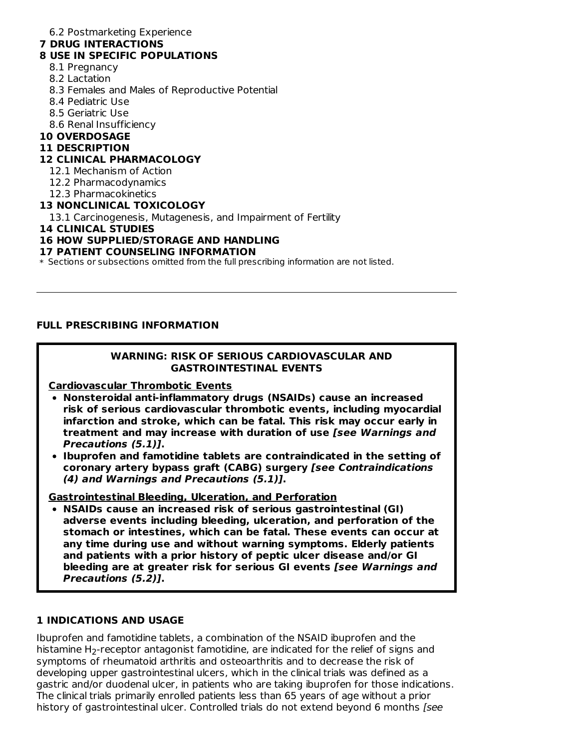#### 6.2 Postmarketing Experience

#### **7 DRUG INTERACTIONS**

#### **8 USE IN SPECIFIC POPULATIONS**

- 8.1 Pregnancy
- 8.2 Lactation
- 8.3 Females and Males of Reproductive Potential
- 8.4 Pediatric Use
- 8.5 Geriatric Use
- 8.6 Renal Insufficiency
- **10 OVERDOSAGE**

#### **11 DESCRIPTION**

#### **12 CLINICAL PHARMACOLOGY**

- 12.1 Mechanism of Action
- 12.2 Pharmacodynamics
- 12.3 Pharmacokinetics

#### **13 NONCLINICAL TOXICOLOGY**

13.1 Carcinogenesis, Mutagenesis, and Impairment of Fertility

#### **14 CLINICAL STUDIES**

#### **16 HOW SUPPLIED/STORAGE AND HANDLING**

#### **17 PATIENT COUNSELING INFORMATION**

\* Sections or subsections omitted from the full prescribing information are not listed.

#### **FULL PRESCRIBING INFORMATION**

#### **WARNING: RISK OF SERIOUS CARDIOVASCULAR AND GASTROINTESTINAL EVENTS**

**Cardiovascular Thrombotic Events**

- **Nonsteroidal anti-inflammatory drugs (NSAIDs) cause an increased risk of serious cardiovascular thrombotic events, including myocardial infarction and stroke, which can be fatal. This risk may occur early in treatment and may increase with duration of use [see Warnings and Precautions (5.1)].**
- **Ibuprofen and famotidine tablets are contraindicated in the setting of coronary artery bypass graft (CABG) surgery [see Contraindications (4) and Warnings and Precautions (5.1)].**

**Gastrointestinal Bleeding, Ulceration, and Perforation**

**NSAIDs cause an increased risk of serious gastrointestinal (GI) adverse events including bleeding, ulceration, and perforation of the stomach or intestines, which can be fatal. These events can occur at any time during use and without warning symptoms. Elderly patients and patients with a prior history of peptic ulcer disease and/or GI bleeding are at greater risk for serious GI events [see Warnings and Precautions (5.2)].**

### **1 INDICATIONS AND USAGE**

Ibuprofen and famotidine tablets, a combination of the NSAID ibuprofen and the histamine H $_2$ -receptor antagonist famotidine, are indicated for the relief of signs and symptoms of rheumatoid arthritis and osteoarthritis and to decrease the risk of developing upper gastrointestinal ulcers, which in the clinical trials was defined as a gastric and/or duodenal ulcer, in patients who are taking ibuprofen for those indications. The clinical trials primarily enrolled patients less than 65 years of age without a prior history of gastrointestinal ulcer. Controlled trials do not extend beyond 6 months [see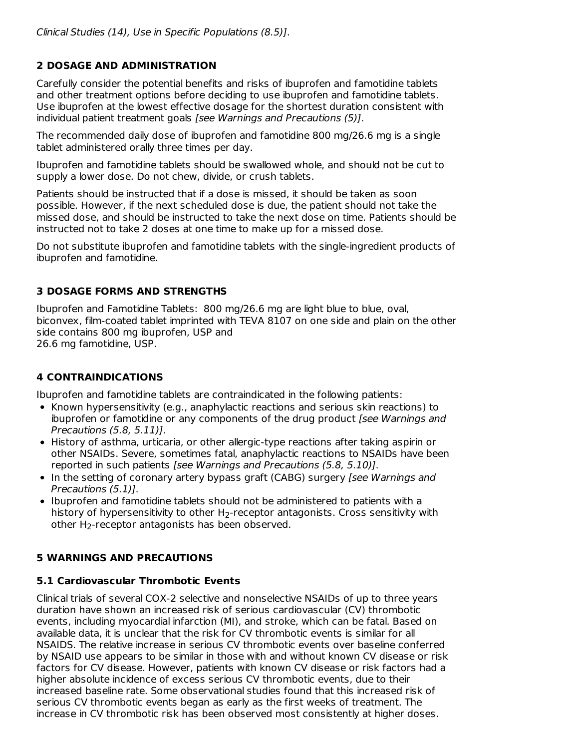### **2 DOSAGE AND ADMINISTRATION**

Carefully consider the potential benefits and risks of ibuprofen and famotidine tablets and other treatment options before deciding to use ibuprofen and famotidine tablets. Use ibuprofen at the lowest effective dosage for the shortest duration consistent with individual patient treatment goals [see Warnings and Precautions (5)].

The recommended daily dose of ibuprofen and famotidine 800 mg/26.6 mg is a single tablet administered orally three times per day.

Ibuprofen and famotidine tablets should be swallowed whole, and should not be cut to supply a lower dose. Do not chew, divide, or crush tablets.

Patients should be instructed that if a dose is missed, it should be taken as soon possible. However, if the next scheduled dose is due, the patient should not take the missed dose, and should be instructed to take the next dose on time. Patients should be instructed not to take 2 doses at one time to make up for a missed dose.

Do not substitute ibuprofen and famotidine tablets with the single-ingredient products of ibuprofen and famotidine.

### **3 DOSAGE FORMS AND STRENGTHS**

Ibuprofen and Famotidine Tablets: 800 mg/26.6 mg are light blue to blue, oval, biconvex, film-coated tablet imprinted with TEVA 8107 on one side and plain on the other side contains 800 mg ibuprofen, USP and 26.6 mg famotidine, USP.

### **4 CONTRAINDICATIONS**

Ibuprofen and famotidine tablets are contraindicated in the following patients:

- Known hypersensitivity (e.g., anaphylactic reactions and serious skin reactions) to ibuprofen or famotidine or any components of the drug product [see Warnings and Precautions (5.8, 5.11)].
- History of asthma, urticaria, or other allergic-type reactions after taking aspirin or other NSAIDs. Severe, sometimes fatal, anaphylactic reactions to NSAIDs have been reported in such patients [see Warnings and Precautions (5.8, 5.10)].
- In the setting of coronary artery bypass graft (CABG) surgery *[see Warnings and* Precautions (5.1)].
- Ibuprofen and famotidine tablets should not be administered to patients with a history of hypersensitivity to other  $\mathsf{H}_2$ -receptor antagonists. Cross sensitivity with other  $H_2$ -receptor antagonists has been observed.

### **5 WARNINGS AND PRECAUTIONS**

### **5.1 Cardiovascular Thrombotic Events**

Clinical trials of several COX-2 selective and nonselective NSAIDs of up to three years duration have shown an increased risk of serious cardiovascular (CV) thrombotic events, including myocardial infarction (MI), and stroke, which can be fatal. Based on available data, it is unclear that the risk for CV thrombotic events is similar for all NSAIDS. The relative increase in serious CV thrombotic events over baseline conferred by NSAID use appears to be similar in those with and without known CV disease or risk factors for CV disease. However, patients with known CV disease or risk factors had a higher absolute incidence of excess serious CV thrombotic events, due to their increased baseline rate. Some observational studies found that this increased risk of serious CV thrombotic events began as early as the first weeks of treatment. The increase in CV thrombotic risk has been observed most consistently at higher doses.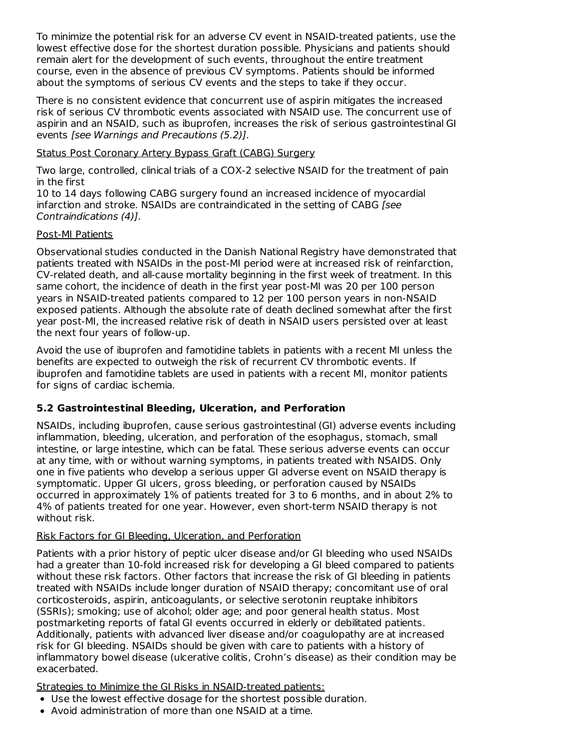To minimize the potential risk for an adverse CV event in NSAID-treated patients, use the lowest effective dose for the shortest duration possible. Physicians and patients should remain alert for the development of such events, throughout the entire treatment course, even in the absence of previous CV symptoms. Patients should be informed about the symptoms of serious CV events and the steps to take if they occur.

There is no consistent evidence that concurrent use of aspirin mitigates the increased risk of serious CV thrombotic events associated with NSAID use. The concurrent use of aspirin and an NSAID, such as ibuprofen, increases the risk of serious gastrointestinal GI events [see Warnings and Precautions (5.2)].

#### Status Post Coronary Artery Bypass Graft (CABG) Surgery

Two large, controlled, clinical trials of a COX-2 selective NSAID for the treatment of pain in the first

10 to 14 days following CABG surgery found an increased incidence of myocardial infarction and stroke. NSAIDs are contraindicated in the setting of CABG [see Contraindications (4)].

#### Post-MI Patients

Observational studies conducted in the Danish National Registry have demonstrated that patients treated with NSAIDs in the post-MI period were at increased risk of reinfarction, CV-related death, and all-cause mortality beginning in the first week of treatment. In this same cohort, the incidence of death in the first year post-MI was 20 per 100 person years in NSAID-treated patients compared to 12 per 100 person years in non-NSAID exposed patients. Although the absolute rate of death declined somewhat after the first year post-MI, the increased relative risk of death in NSAID users persisted over at least the next four years of follow-up.

Avoid the use of ibuprofen and famotidine tablets in patients with a recent MI unless the benefits are expected to outweigh the risk of recurrent CV thrombotic events. If ibuprofen and famotidine tablets are used in patients with a recent MI, monitor patients for signs of cardiac ischemia.

## **5.2 Gastrointestinal Bleeding, Ulceration, and Perforation**

NSAIDs, including ibuprofen, cause serious gastrointestinal (GI) adverse events including inflammation, bleeding, ulceration, and perforation of the esophagus, stomach, small intestine, or large intestine, which can be fatal. These serious adverse events can occur at any time, with or without warning symptoms, in patients treated with NSAIDS. Only one in five patients who develop a serious upper GI adverse event on NSAID therapy is symptomatic. Upper GI ulcers, gross bleeding, or perforation caused by NSAIDs occurred in approximately 1% of patients treated for 3 to 6 months, and in about 2% to 4% of patients treated for one year. However, even short-term NSAID therapy is not without risk.

### Risk Factors for GI Bleeding, Ulceration, and Perforation

Patients with a prior history of peptic ulcer disease and/or GI bleeding who used NSAIDs had a greater than 10-fold increased risk for developing a GI bleed compared to patients without these risk factors. Other factors that increase the risk of GI bleeding in patients treated with NSAIDs include longer duration of NSAID therapy; concomitant use of oral corticosteroids, aspirin, anticoagulants, or selective serotonin reuptake inhibitors (SSRIs); smoking; use of alcohol; older age; and poor general health status. Most postmarketing reports of fatal GI events occurred in elderly or debilitated patients. Additionally, patients with advanced liver disease and/or coagulopathy are at increased risk for GI bleeding. NSAIDs should be given with care to patients with a history of inflammatory bowel disease (ulcerative colitis, Crohn's disease) as their condition may be exacerbated.

Strategies to Minimize the GI Risks in NSAID-treated patients:

- Use the lowest effective dosage for the shortest possible duration.
- Avoid administration of more than one NSAID at a time.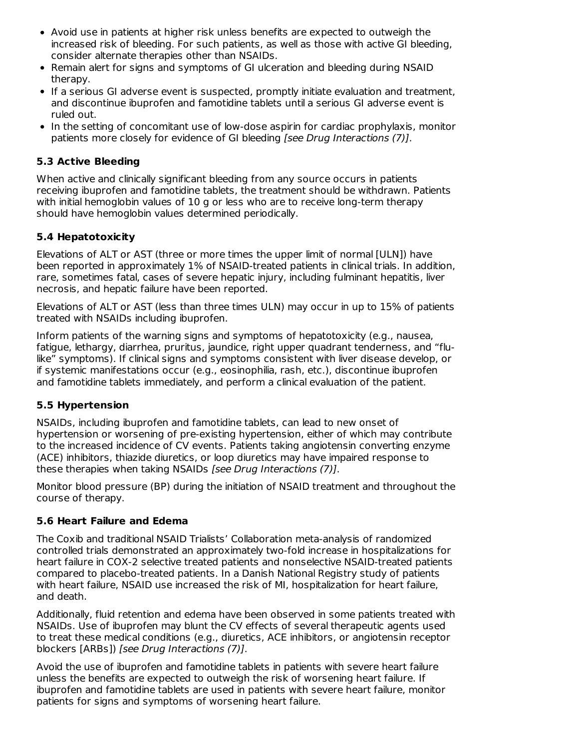- Avoid use in patients at higher risk unless benefits are expected to outweigh the increased risk of bleeding. For such patients, as well as those with active GI bleeding, consider alternate therapies other than NSAIDs.
- Remain alert for signs and symptoms of GI ulceration and bleeding during NSAID therapy.
- If a serious GI adverse event is suspected, promptly initiate evaluation and treatment, and discontinue ibuprofen and famotidine tablets until a serious GI adverse event is ruled out.
- In the setting of concomitant use of low-dose aspirin for cardiac prophylaxis, monitor patients more closely for evidence of GI bleeding [see Drug Interactions (7)].

### **5.3 Active Bleeding**

When active and clinically significant bleeding from any source occurs in patients receiving ibuprofen and famotidine tablets, the treatment should be withdrawn. Patients with initial hemoglobin values of 10 g or less who are to receive long-term therapy should have hemoglobin values determined periodically.

## **5.4 Hepatotoxicity**

Elevations of ALT or AST (three or more times the upper limit of normal [ULN]) have been reported in approximately 1% of NSAID-treated patients in clinical trials. In addition, rare, sometimes fatal, cases of severe hepatic injury, including fulminant hepatitis, liver necrosis, and hepatic failure have been reported.

Elevations of ALT or AST (less than three times ULN) may occur in up to 15% of patients treated with NSAIDs including ibuprofen.

Inform patients of the warning signs and symptoms of hepatotoxicity (e.g., nausea, fatigue, lethargy, diarrhea, pruritus, jaundice, right upper quadrant tenderness, and "flulike" symptoms). If clinical signs and symptoms consistent with liver disease develop, or if systemic manifestations occur (e.g., eosinophilia, rash, etc.), discontinue ibuprofen and famotidine tablets immediately, and perform a clinical evaluation of the patient.

### **5.5 Hypertension**

NSAIDs, including ibuprofen and famotidine tablets, can lead to new onset of hypertension or worsening of pre-existing hypertension, either of which may contribute to the increased incidence of CV events. Patients taking angiotensin converting enzyme (ACE) inhibitors, thiazide diuretics, or loop diuretics may have impaired response to these therapies when taking NSAIDs [see Drug Interactions (7)].

Monitor blood pressure (BP) during the initiation of NSAID treatment and throughout the course of therapy.

### **5.6 Heart Failure and Edema**

The Coxib and traditional NSAID Trialists' Collaboration meta-analysis of randomized controlled trials demonstrated an approximately two-fold increase in hospitalizations for heart failure in COX-2 selective treated patients and nonselective NSAID-treated patients compared to placebo-treated patients. In a Danish National Registry study of patients with heart failure, NSAID use increased the risk of MI, hospitalization for heart failure, and death.

Additionally, fluid retention and edema have been observed in some patients treated with NSAIDs. Use of ibuprofen may blunt the CV effects of several therapeutic agents used to treat these medical conditions (e.g., diuretics, ACE inhibitors, or angiotensin receptor blockers [ARBs]) [see Drug Interactions (7)].

Avoid the use of ibuprofen and famotidine tablets in patients with severe heart failure unless the benefits are expected to outweigh the risk of worsening heart failure. If ibuprofen and famotidine tablets are used in patients with severe heart failure, monitor patients for signs and symptoms of worsening heart failure.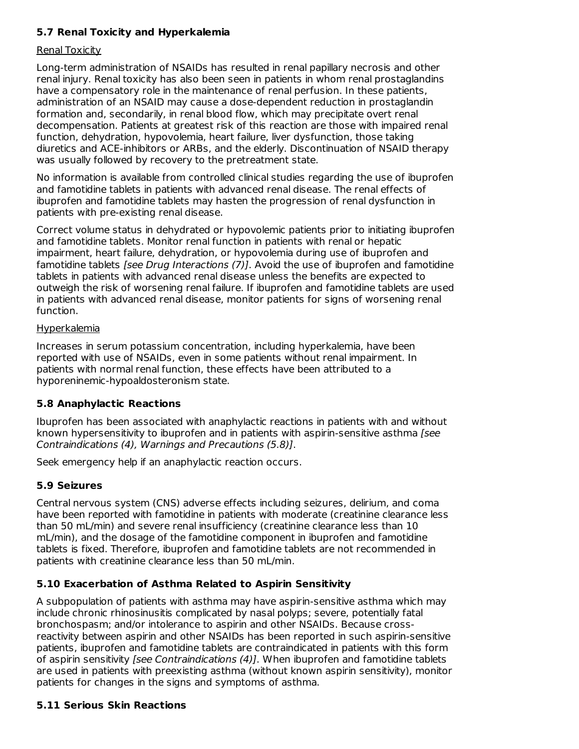### **5.7 Renal Toxicity and Hyperkalemia**

#### Renal Toxicity

Long-term administration of NSAIDs has resulted in renal papillary necrosis and other renal injury. Renal toxicity has also been seen in patients in whom renal prostaglandins have a compensatory role in the maintenance of renal perfusion. In these patients, administration of an NSAID may cause a dose-dependent reduction in prostaglandin formation and, secondarily, in renal blood flow, which may precipitate overt renal decompensation. Patients at greatest risk of this reaction are those with impaired renal function, dehydration, hypovolemia, heart failure, liver dysfunction, those taking diuretics and ACE-inhibitors or ARBs, and the elderly. Discontinuation of NSAID therapy was usually followed by recovery to the pretreatment state.

No information is available from controlled clinical studies regarding the use of ibuprofen and famotidine tablets in patients with advanced renal disease. The renal effects of ibuprofen and famotidine tablets may hasten the progression of renal dysfunction in patients with pre-existing renal disease.

Correct volume status in dehydrated or hypovolemic patients prior to initiating ibuprofen and famotidine tablets. Monitor renal function in patients with renal or hepatic impairment, heart failure, dehydration, or hypovolemia during use of ibuprofen and famotidine tablets *[see Drug Interactions (7)]*. Avoid the use of ibuprofen and famotidine tablets in patients with advanced renal disease unless the benefits are expected to outweigh the risk of worsening renal failure. If ibuprofen and famotidine tablets are used in patients with advanced renal disease, monitor patients for signs of worsening renal function.

#### Hyperkalemia

Increases in serum potassium concentration, including hyperkalemia, have been reported with use of NSAIDs, even in some patients without renal impairment. In patients with normal renal function, these effects have been attributed to a hyporeninemic-hypoaldosteronism state.

### **5.8 Anaphylactic Reactions**

Ibuprofen has been associated with anaphylactic reactions in patients with and without known hypersensitivity to ibuprofen and in patients with aspirin-sensitive asthma [see Contraindications (4), Warnings and Precautions (5.8)].

Seek emergency help if an anaphylactic reaction occurs.

#### **5.9 Seizures**

Central nervous system (CNS) adverse effects including seizures, delirium, and coma have been reported with famotidine in patients with moderate (creatinine clearance less than 50 mL/min) and severe renal insufficiency (creatinine clearance less than 10 mL/min), and the dosage of the famotidine component in ibuprofen and famotidine tablets is fixed. Therefore, ibuprofen and famotidine tablets are not recommended in patients with creatinine clearance less than 50 mL/min.

### **5.10 Exacerbation of Asthma Related to Aspirin Sensitivity**

A subpopulation of patients with asthma may have aspirin-sensitive asthma which may include chronic rhinosinusitis complicated by nasal polyps; severe, potentially fatal bronchospasm; and/or intolerance to aspirin and other NSAIDs. Because crossreactivity between aspirin and other NSAIDs has been reported in such aspirin-sensitive patients, ibuprofen and famotidine tablets are contraindicated in patients with this form of aspirin sensitivity *[see Contraindications (4)]*. When ibuprofen and famotidine tablets are used in patients with preexisting asthma (without known aspirin sensitivity), monitor patients for changes in the signs and symptoms of asthma.

#### **5.11 Serious Skin Reactions**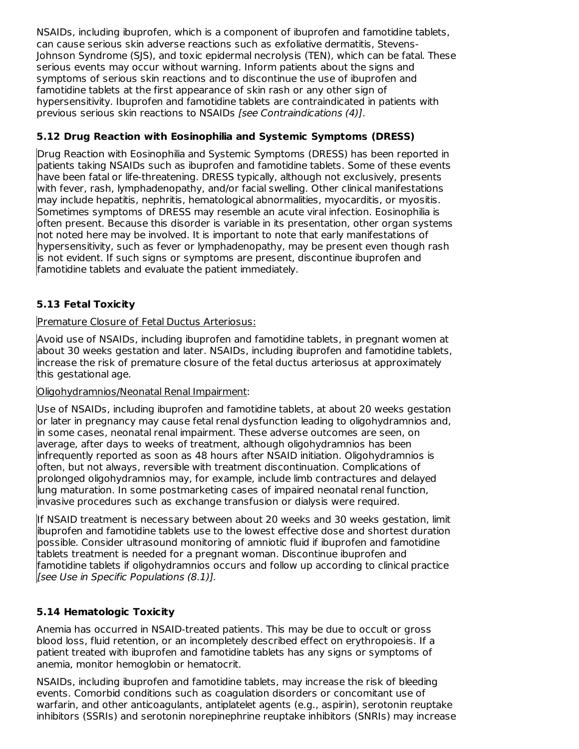NSAIDs, including ibuprofen, which is a component of ibuprofen and famotidine tablets, can cause serious skin adverse reactions such as exfoliative dermatitis, Stevens-Johnson Syndrome (SJS), and toxic epidermal necrolysis (TEN), which can be fatal. These serious events may occur without warning. Inform patients about the signs and symptoms of serious skin reactions and to discontinue the use of ibuprofen and famotidine tablets at the first appearance of skin rash or any other sign of hypersensitivity. Ibuprofen and famotidine tablets are contraindicated in patients with previous serious skin reactions to NSAIDs [see Contraindications (4)].

### **5.12 Drug Reaction with Eosinophilia and Systemic Symptoms (DRESS)**

Drug Reaction with Eosinophilia and Systemic Symptoms (DRESS) has been reported in patients taking NSAIDs such as ibuprofen and famotidine tablets. Some of these events have been fatal or life-threatening. DRESS typically, although not exclusively, presents with fever, rash, lymphadenopathy, and/or facial swelling. Other clinical manifestations may include hepatitis, nephritis, hematological abnormalities, myocarditis, or myositis. Sometimes symptoms of DRESS may resemble an acute viral infection. Eosinophilia is often present. Because this disorder is variable in its presentation, other organ systems not noted here may be involved. It is important to note that early manifestations of hypersensitivity, such as fever or lymphadenopathy, may be present even though rash is not evident. If such signs or symptoms are present, discontinue ibuprofen and famotidine tablets and evaluate the patient immediately.

## **5.13 Fetal Toxicity**

### Premature Closure of Fetal Ductus Arteriosus:

Avoid use of NSAIDs, including ibuprofen and famotidine tablets, in pregnant women at about 30 weeks gestation and later. NSAIDs, including ibuprofen and famotidine tablets, increase the risk of premature closure of the fetal ductus arteriosus at approximately this gestational age.

### Oligohydramnios/Neonatal Renal Impairment:

Use of NSAIDs, including ibuprofen and famotidine tablets, at about 20 weeks gestation or later in pregnancy may cause fetal renal dysfunction leading to oligohydramnios and, in some cases, neonatal renal impairment. These adverse outcomes are seen, on average, after days to weeks of treatment, although oligohydramnios has been infrequently reported as soon as 48 hours after NSAID initiation. Oligohydramnios is often, but not always, reversible with treatment discontinuation. Complications of prolonged oligohydramnios may, for example, include limb contractures and delayed lung maturation. In some postmarketing cases of impaired neonatal renal function, invasive procedures such as exchange transfusion or dialysis were required.

If NSAID treatment is necessary between about 20 weeks and 30 weeks gestation, limit ibuprofen and famotidine tablets use to the lowest effective dose and shortest duration possible. Consider ultrasound monitoring of amniotic fluid if ibuprofen and famotidine tablets treatment is needed for a pregnant woman. Discontinue ibuprofen and famotidine tablets if oligohydramnios occurs and follow up according to clinical practice [see Use in Specific Populations (8.1)].

## **5.14 Hematologic Toxicity**

Anemia has occurred in NSAID-treated patients. This may be due to occult or gross blood loss, fluid retention, or an incompletely described effect on erythropoiesis. If a patient treated with ibuprofen and famotidine tablets has any signs or symptoms of anemia, monitor hemoglobin or hematocrit.

NSAIDs, including ibuprofen and famotidine tablets, may increase the risk of bleeding events. Comorbid conditions such as coagulation disorders or concomitant use of warfarin, and other anticoagulants, antiplatelet agents (e.g., aspirin), serotonin reuptake inhibitors (SSRIs) and serotonin norepinephrine reuptake inhibitors (SNRIs) may increase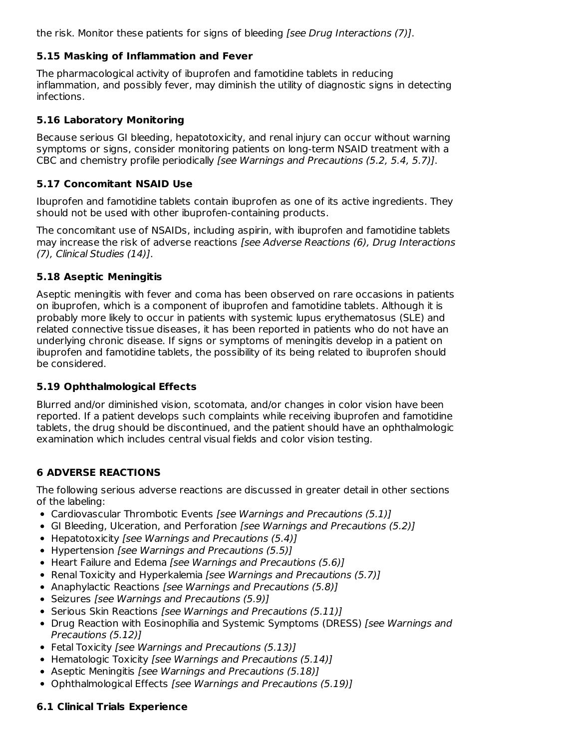the risk. Monitor these patients for signs of bleeding *[see Drug Interactions (7)]*.

### **5.15 Masking of Inflammation and Fever**

The pharmacological activity of ibuprofen and famotidine tablets in reducing inflammation, and possibly fever, may diminish the utility of diagnostic signs in detecting infections.

### **5.16 Laboratory Monitoring**

Because serious GI bleeding, hepatotoxicity, and renal injury can occur without warning symptoms or signs, consider monitoring patients on long-term NSAID treatment with a CBC and chemistry profile periodically [see Warnings and Precautions  $(5.2, 5.4, 5.7)$ ].

### **5.17 Concomitant NSAID Use**

Ibuprofen and famotidine tablets contain ibuprofen as one of its active ingredients. They should not be used with other ibuprofen-containing products.

The concomitant use of NSAIDs, including aspirin, with ibuprofen and famotidine tablets may increase the risk of adverse reactions [see Adverse Reactions (6), Drug Interactions (7), Clinical Studies (14)].

### **5.18 Aseptic Meningitis**

Aseptic meningitis with fever and coma has been observed on rare occasions in patients on ibuprofen, which is a component of ibuprofen and famotidine tablets. Although it is probably more likely to occur in patients with systemic lupus erythematosus (SLE) and related connective tissue diseases, it has been reported in patients who do not have an underlying chronic disease. If signs or symptoms of meningitis develop in a patient on ibuprofen and famotidine tablets, the possibility of its being related to ibuprofen should be considered.

### **5.19 Ophthalmological Effects**

Blurred and/or diminished vision, scotomata, and/or changes in color vision have been reported. If a patient develops such complaints while receiving ibuprofen and famotidine tablets, the drug should be discontinued, and the patient should have an ophthalmologic examination which includes central visual fields and color vision testing.

## **6 ADVERSE REACTIONS**

The following serious adverse reactions are discussed in greater detail in other sections of the labeling:

- Cardiovascular Thrombotic Events [see Warnings and Precautions (5.1)]
- GI Bleeding, Ulceration, and Perforation [see Warnings and Precautions (5.2)]
- Hepatotoxicity [see Warnings and Precautions (5.4)]
- Hypertension [see Warnings and Precautions (5.5)]
- Heart Failure and Edema [see Warnings and Precautions (5.6)]
- Renal Toxicity and Hyperkalemia [see Warnings and Precautions (5.7)]
- Anaphylactic Reactions [see Warnings and Precautions (5.8)]
- Seizures [see Warnings and Precautions (5.9)]
- Serious Skin Reactions [see Warnings and Precautions (5.11)]
- Drug Reaction with Eosinophilia and Systemic Symptoms (DRESS) [see Warnings and Precautions (5.12)]
- Fetal Toxicity [see Warnings and Precautions (5.13)]
- Hematologic Toxicity [see Warnings and Precautions (5.14)]
- Aseptic Meningitis [see Warnings and Precautions (5.18)]
- Ophthalmological Effects [see Warnings and Precautions (5.19)]

# **6.1 Clinical Trials Experience**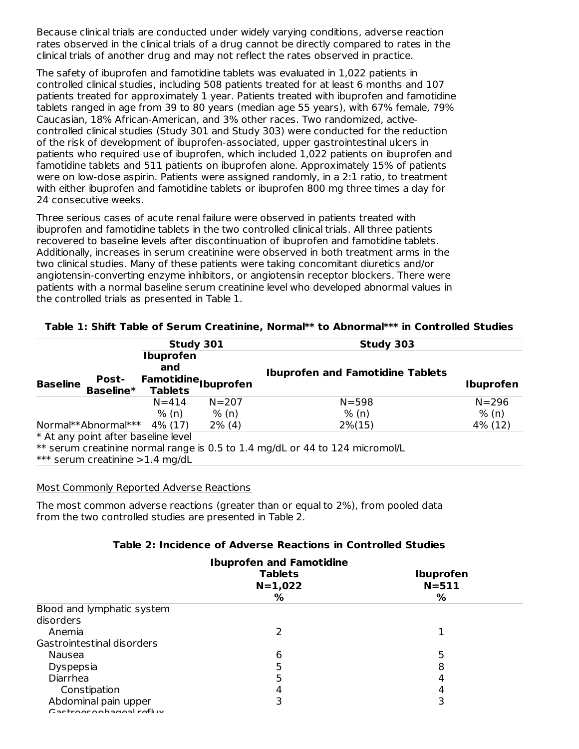Because clinical trials are conducted under widely varying conditions, adverse reaction rates observed in the clinical trials of a drug cannot be directly compared to rates in the clinical trials of another drug and may not reflect the rates observed in practice.

The safety of ibuprofen and famotidine tablets was evaluated in 1,022 patients in controlled clinical studies, including 508 patients treated for at least 6 months and 107 patients treated for approximately 1 year. Patients treated with ibuprofen and famotidine tablets ranged in age from 39 to 80 years (median age 55 years), with 67% female, 79% Caucasian, 18% African-American, and 3% other races. Two randomized, activecontrolled clinical studies (Study 301 and Study 303) were conducted for the reduction of the risk of development of ibuprofen-associated, upper gastrointestinal ulcers in patients who required use of ibuprofen, which included 1,022 patients on ibuprofen and famotidine tablets and 511 patients on ibuprofen alone. Approximately 15% of patients were on low-dose aspirin. Patients were assigned randomly, in a 2:1 ratio, to treatment with either ibuprofen and famotidine tablets or ibuprofen 800 mg three times a day for 24 consecutive weeks.

Three serious cases of acute renal failure were observed in patients treated with ibuprofen and famotidine tablets in the two controlled clinical trials. All three patients recovered to baseline levels after discontinuation of ibuprofen and famotidine tablets. Additionally, increases in serum creatinine were observed in both treatment arms in the two clinical studies. Many of these patients were taking concomitant diuretics and/or angiotensin-converting enzyme inhibitors, or angiotensin receptor blockers. There were patients with a normal baseline serum creatinine level who developed abnormal values in the controlled trials as presented in Table 1.

|                                              | Study 301                                                                    |           | Study 303                                                                    |           |
|----------------------------------------------|------------------------------------------------------------------------------|-----------|------------------------------------------------------------------------------|-----------|
| <b>Post-</b><br><b>Baseline</b><br>Baseline* | <b>Ibuprofen</b><br>and<br>Famotidine <sub>Ibuprofen</sub><br><b>Tablets</b> |           | <b>Ibuprofen and Famotidine Tablets</b>                                      | Ibuprofen |
|                                              | $N = 414$                                                                    | $N = 207$ | $N = 598$                                                                    | $N = 296$ |
|                                              | % (n)                                                                        | % (n)     | % (n)                                                                        | % (n)     |
| Normal**Abnormal*** 4% (17)                  |                                                                              | $2\%$ (4) | $2\%$ (15)                                                                   | 4% (12)   |
| * At any point after baseline level          |                                                                              |           |                                                                              |           |
|                                              |                                                                              |           | ** serum creatinine normal range is 0.5 to 1.4 mg/dL or 44 to 124 micromol/L |           |
| *** serum creatinine > 1.4 mg/dL             |                                                                              |           |                                                                              |           |

#### **Table 1: Shift Table of Serum Creatinine, Normal\*\* to Abnormal\*\*\* in Controlled Studies**

#### Most Commonly Reported Adverse Reactions

The most common adverse reactions (greater than or equal to 2%), from pooled data from the two controlled studies are presented in Table 2.

#### **Table 2: Incidence of Adverse Reactions in Controlled Studies**

|                                                | <b>Ibuprofen and Famotidine</b>  |                                    |
|------------------------------------------------|----------------------------------|------------------------------------|
|                                                | <b>Tablets</b><br>$N=1,022$<br>% | <b>Ibuprofen</b><br>$N = 511$<br>% |
| Blood and lymphatic system                     |                                  |                                    |
| disorders                                      |                                  |                                    |
| Anemia                                         |                                  |                                    |
| Gastrointestinal disorders                     |                                  |                                    |
| Nausea                                         | 6                                | 5                                  |
| Dyspepsia                                      |                                  | 8                                  |
| Diarrhea                                       |                                  | 4                                  |
| Constipation                                   | 4                                | 4                                  |
| Abdominal pain upper<br>Castrocophagoal roflux |                                  | 3                                  |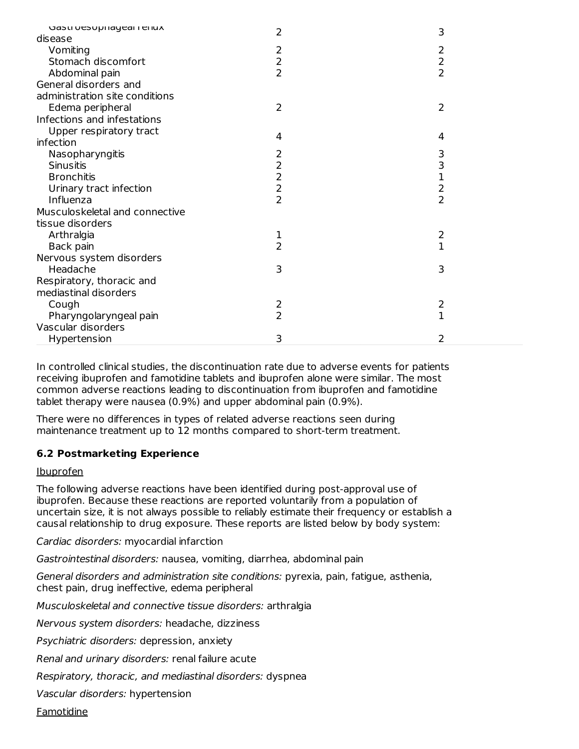| udstruesuphidyed renux<br>disease | 2                       | 3              |
|-----------------------------------|-------------------------|----------------|
| Vomiting                          | $\overline{\mathbf{c}}$ | 2              |
| Stomach discomfort                | $\overline{c}$          | $\overline{c}$ |
| Abdominal pain                    | $\overline{2}$          | $\overline{2}$ |
| General disorders and             |                         |                |
| administration site conditions    |                         |                |
| Edema peripheral                  | $\overline{2}$          | $\overline{2}$ |
| Infections and infestations       |                         |                |
| Upper respiratory tract           |                         |                |
| infection                         | 4                       | 4              |
| Nasopharyngitis                   |                         | 3              |
| <b>Sinusitis</b>                  |                         |                |
| <b>Bronchitis</b>                 |                         | $\frac{3}{1}$  |
| Urinary tract infection           |                         |                |
| Influenza                         | $2222$<br>$222$         | $\frac{2}{2}$  |
| Musculoskeletal and connective    |                         |                |
| tissue disorders                  |                         |                |
| Arthralgia                        | 1                       | 2              |
| Back pain                         | $\overline{2}$          | $\overline{1}$ |
| Nervous system disorders          |                         |                |
| Headache                          | 3                       | 3              |
| Respiratory, thoracic and         |                         |                |
| mediastinal disorders             |                         |                |
| Cough                             | 2                       | 2              |
| Pharyngolaryngeal pain            | $\overline{2}$          | 1              |
| Vascular disorders                |                         |                |
| Hypertension                      | 3                       | 2              |
|                                   |                         |                |

In controlled clinical studies, the discontinuation rate due to adverse events for patients receiving ibuprofen and famotidine tablets and ibuprofen alone were similar. The most common adverse reactions leading to discontinuation from ibuprofen and famotidine tablet therapy were nausea (0.9%) and upper abdominal pain (0.9%).

There were no differences in types of related adverse reactions seen during maintenance treatment up to 12 months compared to short-term treatment.

### **6.2 Postmarketing Experience**

Ibuprofen

The following adverse reactions have been identified during post-approval use of ibuprofen. Because these reactions are reported voluntarily from a population of uncertain size, it is not always possible to reliably estimate their frequency or establish a causal relationship to drug exposure. These reports are listed below by body system:

Cardiac disorders: myocardial infarction

Gastrointestinal disorders: nausea, vomiting, diarrhea, abdominal pain

General disorders and administration site conditions: pyrexia, pain, fatigue, asthenia, chest pain, drug ineffective, edema peripheral

Musculoskeletal and connective tissue disorders: arthralgia

Nervous system disorders: headache, dizziness

Psychiatric disorders: depression, anxiety

Renal and urinary disorders: renal failure acute

Respiratory, thoracic, and mediastinal disorders: dyspnea

Vascular disorders: hypertension

Famotidine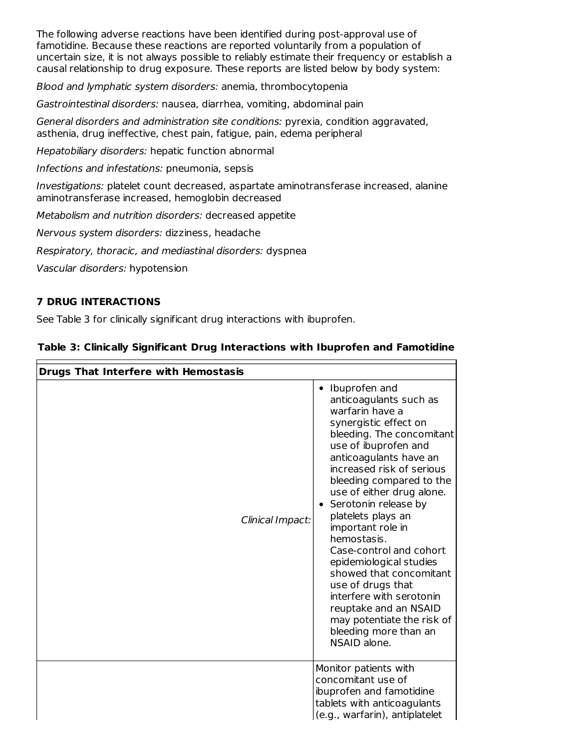The following adverse reactions have been identified during post-approval use of famotidine. Because these reactions are reported voluntarily from a population of uncertain size, it is not always possible to reliably estimate their frequency or establish a causal relationship to drug exposure. These reports are listed below by body system:

Blood and lymphatic system disorders: anemia, thrombocytopenia

Gastrointestinal disorders: nausea, diarrhea, vomiting, abdominal pain

General disorders and administration site conditions: pyrexia, condition aggravated, asthenia, drug ineffective, chest pain, fatigue, pain, edema peripheral

Hepatobiliary disorders: hepatic function abnormal

Infections and infestations: pneumonia, sepsis

Investigations: platelet count decreased, aspartate aminotransferase increased, alanine aminotransferase increased, hemoglobin decreased

Metabolism and nutrition disorders: decreased appetite

Nervous system disorders: dizziness, headache

Respiratory, thoracic, and mediastinal disorders: dyspnea

Vascular disorders: hypotension

### **7 DRUG INTERACTIONS**

See Table 3 for clinically significant drug interactions with ibuprofen.

| <b>Drugs That Interfere with Hemostasis</b> |                                                                                                                                                                                                                                                                                                                                                                                                                                                                                                                                                                                |  |  |
|---------------------------------------------|--------------------------------------------------------------------------------------------------------------------------------------------------------------------------------------------------------------------------------------------------------------------------------------------------------------------------------------------------------------------------------------------------------------------------------------------------------------------------------------------------------------------------------------------------------------------------------|--|--|
| Clinical Impact:                            | • Ibuprofen and<br>anticoagulants such as<br>warfarin have a<br>synergistic effect on<br>bleeding. The concomitant<br>use of ibuprofen and<br>anticoagulants have an<br>increased risk of serious<br>bleeding compared to the<br>use of either drug alone.<br>Serotonin release by<br>platelets plays an<br>important role in<br>hemostasis.<br>Case-control and cohort<br>epidemiological studies<br>showed that concomitant<br>use of drugs that<br>interfere with serotonin<br>reuptake and an NSAID<br>may potentiate the risk of<br>bleeding more than an<br>NSAID alone. |  |  |
|                                             | Monitor patients with<br>concomitant use of<br>ibuprofen and famotidine<br>tablets with anticoagulants<br>(e.g., warfarin), antiplatelet                                                                                                                                                                                                                                                                                                                                                                                                                                       |  |  |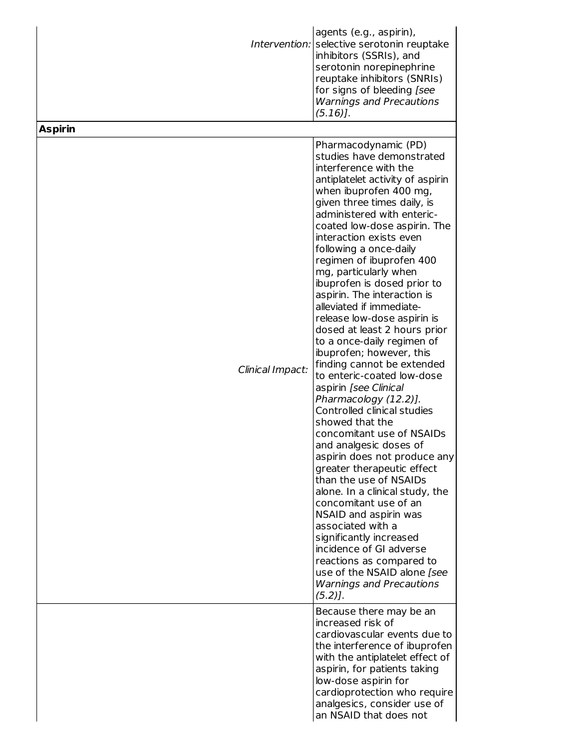|                  | agents (e.g., aspirin),<br>Intervention: selective serotonin reuptake<br>inhibitors (SSRIs), and<br>serotonin norepinephrine<br>reuptake inhibitors (SNRIs)<br>for signs of bleeding [see<br><b>Warnings and Precautions</b><br>$(5.16)$ .                                                                                                                                                                                                                                                                                                                                                                                                                                                                                                                                                                                                                                                                                                                                                                                                                                                                                                      |
|------------------|-------------------------------------------------------------------------------------------------------------------------------------------------------------------------------------------------------------------------------------------------------------------------------------------------------------------------------------------------------------------------------------------------------------------------------------------------------------------------------------------------------------------------------------------------------------------------------------------------------------------------------------------------------------------------------------------------------------------------------------------------------------------------------------------------------------------------------------------------------------------------------------------------------------------------------------------------------------------------------------------------------------------------------------------------------------------------------------------------------------------------------------------------|
| <b>Aspirin</b>   |                                                                                                                                                                                                                                                                                                                                                                                                                                                                                                                                                                                                                                                                                                                                                                                                                                                                                                                                                                                                                                                                                                                                                 |
| Clinical Impact: | Pharmacodynamic (PD)<br>studies have demonstrated<br>interference with the<br>antiplatelet activity of aspirin<br>when ibuprofen 400 mg,<br>given three times daily, is<br>administered with enteric-<br>coated low-dose aspirin. The<br>interaction exists even<br>following a once-daily<br>regimen of ibuprofen 400<br>mg, particularly when<br>ibuprofen is dosed prior to<br>aspirin. The interaction is<br>alleviated if immediate-<br>release low-dose aspirin is<br>dosed at least 2 hours prior<br>to a once-daily regimen of<br>ibuprofen; however, this<br>finding cannot be extended<br>to enteric-coated low-dose<br>aspirin [see Clinical<br>Pharmacology (12.2)].<br>Controlled clinical studies<br>showed that the<br>concomitant use of NSAIDs<br>and analgesic doses of<br>aspirin does not produce any<br>greater therapeutic effect<br>than the use of NSAIDs<br>alone. In a clinical study, the<br>concomitant use of an<br>NSAID and aspirin was<br>associated with a<br>significantly increased<br>incidence of GI adverse<br>reactions as compared to<br>use of the NSAID alone [see<br><b>Warnings and Precautions</b> |
|                  | $(5.2)$ .<br>Because there may be an<br>increased risk of<br>cardiovascular events due to                                                                                                                                                                                                                                                                                                                                                                                                                                                                                                                                                                                                                                                                                                                                                                                                                                                                                                                                                                                                                                                       |
|                  | the interference of ibuprofen<br>with the antiplatelet effect of<br>aspirin, for patients taking<br>low-dose aspirin for<br>cardioprotection who require<br>analgesics, consider use of<br>an NSAID that does not                                                                                                                                                                                                                                                                                                                                                                                                                                                                                                                                                                                                                                                                                                                                                                                                                                                                                                                               |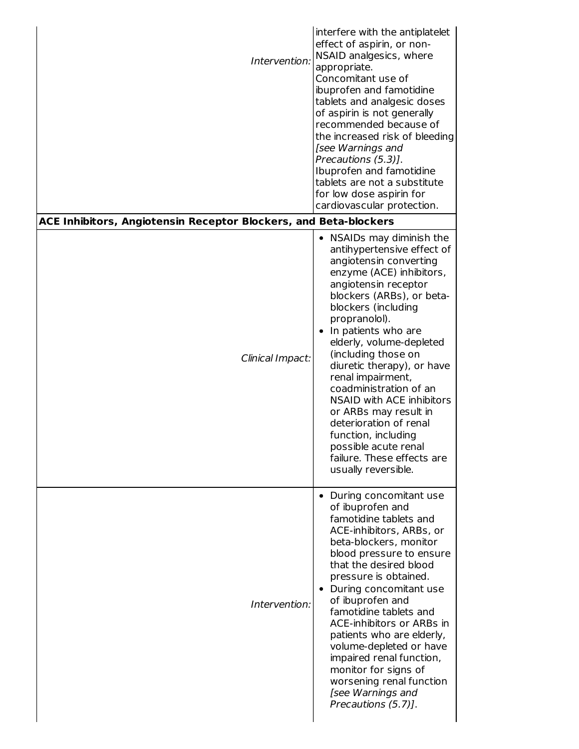| Intervention:<br><b>ACE Inhibitors, Angiotensin Receptor Blockers, and Beta-blockers</b> | interfere with the antiplatelet<br>effect of aspirin, or non-<br>NSAID analgesics, where<br>appropriate.<br>Concomitant use of<br>ibuprofen and famotidine<br>tablets and analgesic doses<br>of aspirin is not generally<br>recommended because of<br>the increased risk of bleeding<br>[see Warnings and<br>Precautions (5.3)].<br>Ibuprofen and famotidine<br>tablets are not a substitute<br>for low dose aspirin for<br>cardiovascular protection.                                                                     |
|------------------------------------------------------------------------------------------|----------------------------------------------------------------------------------------------------------------------------------------------------------------------------------------------------------------------------------------------------------------------------------------------------------------------------------------------------------------------------------------------------------------------------------------------------------------------------------------------------------------------------|
|                                                                                          | • NSAIDs may diminish the                                                                                                                                                                                                                                                                                                                                                                                                                                                                                                  |
| Clinical Impact:                                                                         | antihypertensive effect of<br>angiotensin converting<br>enzyme (ACE) inhibitors,<br>angiotensin receptor<br>blockers (ARBs), or beta-<br>blockers (including<br>propranolol).<br>• In patients who are<br>elderly, volume-depleted<br>(including those on<br>diuretic therapy), or have<br>renal impairment,<br>coadministration of an<br>NSAID with ACE inhibitors<br>or ARBs may result in<br>deterioration of renal<br>function, including<br>possible acute renal<br>failure. These effects are<br>usually reversible. |
| Intervention:                                                                            | • During concomitant use<br>of ibuprofen and<br>famotidine tablets and<br>ACE-inhibitors, ARBs, or<br>beta-blockers, monitor<br>blood pressure to ensure<br>that the desired blood<br>pressure is obtained.<br>• During concomitant use<br>of ibuprofen and<br>famotidine tablets and<br>ACE-inhibitors or ARBs in<br>patients who are elderly,<br>volume-depleted or have<br>impaired renal function,<br>monitor for signs of<br>worsening renal function<br>[see Warnings and<br>Precautions (5.7)].                     |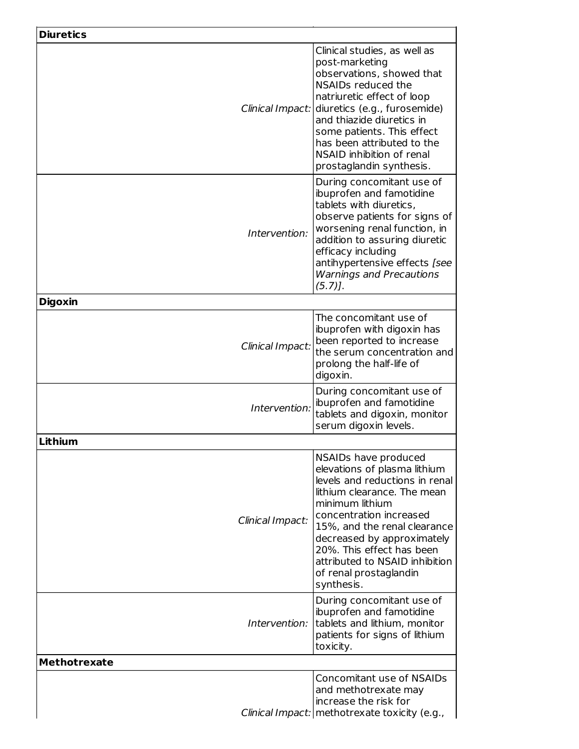| <b>Diuretics</b>    |                                                                                                                                                                                                                                                                                                                                          |
|---------------------|------------------------------------------------------------------------------------------------------------------------------------------------------------------------------------------------------------------------------------------------------------------------------------------------------------------------------------------|
|                     | Clinical studies, as well as<br>post-marketing<br>observations, showed that<br>NSAIDs reduced the<br>natriuretic effect of loop<br>Clinical Impact: diuretics (e.g., furosemide)<br>and thiazide diuretics in<br>some patients. This effect<br>has been attributed to the<br>NSAID inhibition of renal<br>prostaglandin synthesis.       |
| Intervention:       | During concomitant use of<br>ibuprofen and famotidine<br>tablets with diuretics,<br>observe patients for signs of<br>worsening renal function, in<br>addition to assuring diuretic<br>efficacy including<br>antihypertensive effects [see<br><b>Warnings and Precautions</b><br>$(5.7)$ .                                                |
| <b>Digoxin</b>      |                                                                                                                                                                                                                                                                                                                                          |
| Clinical Impact:    | The concomitant use of<br>ibuprofen with digoxin has<br>been reported to increase<br>the serum concentration and<br>prolong the half-life of<br>digoxin.                                                                                                                                                                                 |
| Intervention:       | During concomitant use of<br>ibuprofen and famotidine<br>tablets and digoxin, monitor<br>serum digoxin levels.                                                                                                                                                                                                                           |
| Lithium             |                                                                                                                                                                                                                                                                                                                                          |
| Clinical Impact:    | NSAIDs have produced<br>elevations of plasma lithium<br>levels and reductions in renal<br>lithium clearance. The mean<br>minimum lithium<br>concentration increased<br>15%, and the renal clearance<br>decreased by approximately<br>20%. This effect has been<br>attributed to NSAID inhibition<br>of renal prostaglandin<br>synthesis. |
| Intervention:       | During concomitant use of<br>ibuprofen and famotidine<br>tablets and lithium, monitor<br>patients for signs of lithium<br>toxicity.                                                                                                                                                                                                      |
| <b>Methotrexate</b> |                                                                                                                                                                                                                                                                                                                                          |
|                     | Concomitant use of NSAIDs<br>and methotrexate may<br>increase the risk for<br>Clinical Impact:   methotrexate toxicity (e.g.,                                                                                                                                                                                                            |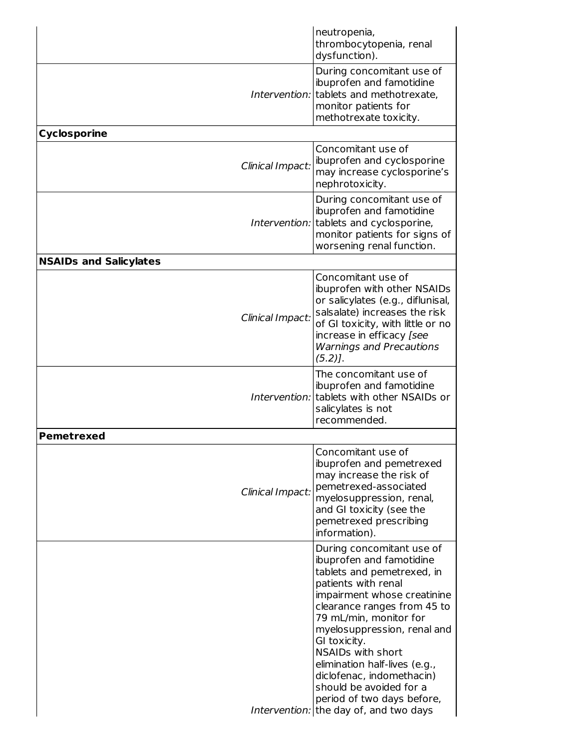|                               | neutropenia,<br>thrombocytopenia, renal<br>dysfunction).                                                                                                                                                                                                                                                                                                                                                                                |
|-------------------------------|-----------------------------------------------------------------------------------------------------------------------------------------------------------------------------------------------------------------------------------------------------------------------------------------------------------------------------------------------------------------------------------------------------------------------------------------|
|                               | During concomitant use of<br>ibuprofen and famotidine<br>Intervention: tablets and methotrexate,<br>monitor patients for<br>methotrexate toxicity.                                                                                                                                                                                                                                                                                      |
| <b>Cyclosporine</b>           |                                                                                                                                                                                                                                                                                                                                                                                                                                         |
| Clinical Impact:              | Concomitant use of<br>ibuprofen and cyclosporine<br>may increase cyclosporine's<br>nephrotoxicity.                                                                                                                                                                                                                                                                                                                                      |
|                               | During concomitant use of<br>ibuprofen and famotidine<br>Intervention: tablets and cyclosporine,<br>monitor patients for signs of<br>worsening renal function.                                                                                                                                                                                                                                                                          |
| <b>NSAIDs and Salicylates</b> |                                                                                                                                                                                                                                                                                                                                                                                                                                         |
| Clinical Impact:              | Concomitant use of<br>ibuprofen with other NSAIDs<br>or salicylates (e.g., diflunisal,<br>salsalate) increases the risk<br>of GI toxicity, with little or no<br>increase in efficacy [see<br><b>Warnings and Precautions</b><br>$(5.2)$ ].                                                                                                                                                                                              |
|                               | The concomitant use of<br>ibuprofen and famotidine<br>Intervention: tablets with other NSAIDs or<br>salicylates is not<br>recommended.                                                                                                                                                                                                                                                                                                  |
| <b>Pemetrexed</b>             |                                                                                                                                                                                                                                                                                                                                                                                                                                         |
| Clinical Impact:              | Concomitant use of<br>ibuprofen and pemetrexed<br>may increase the risk of<br>pemetrexed-associated<br>myelosuppression, renal,<br>and GI toxicity (see the<br>pemetrexed prescribing<br>information).                                                                                                                                                                                                                                  |
|                               | During concomitant use of<br>ibuprofen and famotidine<br>tablets and pemetrexed, in<br>patients with renal<br>impairment whose creatinine<br>clearance ranges from 45 to<br>79 mL/min, monitor for<br>myelosuppression, renal and<br>GI toxicity.<br>NSAIDs with short<br>elimination half-lives (e.g.,<br>diclofenac, indomethacin)<br>should be avoided for a<br>period of two days before,<br>Intervention: the day of, and two days |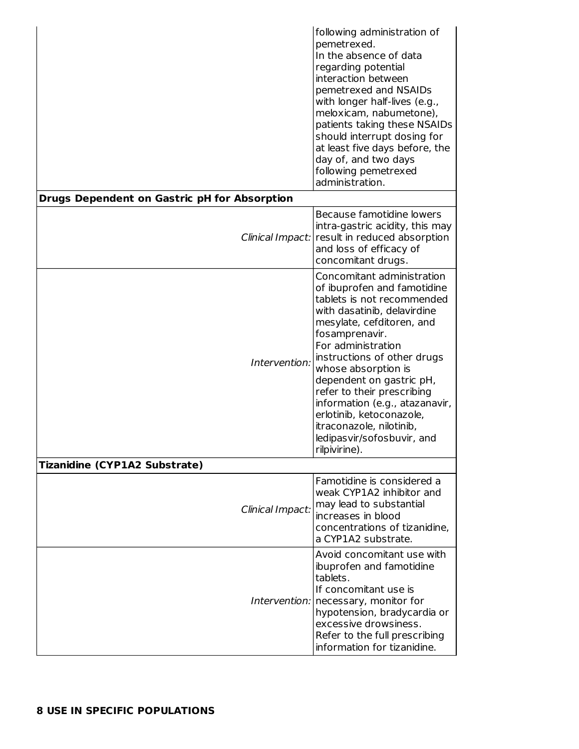|                                              | following administration of<br>pemetrexed.<br>In the absence of data<br>regarding potential<br>interaction between<br>pemetrexed and NSAIDs<br>with longer half-lives (e.g.,<br>meloxicam, nabumetone),<br>patients taking these NSAIDs<br>should interrupt dosing for<br>at least five days before, the<br>day of, and two days<br>following pemetrexed<br>administration.                                                                          |
|----------------------------------------------|------------------------------------------------------------------------------------------------------------------------------------------------------------------------------------------------------------------------------------------------------------------------------------------------------------------------------------------------------------------------------------------------------------------------------------------------------|
| Drugs Dependent on Gastric pH for Absorption |                                                                                                                                                                                                                                                                                                                                                                                                                                                      |
| Clinical Impact:                             | Because famotidine lowers<br>intra-gastric acidity, this may<br>result in reduced absorption<br>and loss of efficacy of<br>concomitant drugs.                                                                                                                                                                                                                                                                                                        |
| Intervention:                                | Concomitant administration<br>of ibuprofen and famotidine<br>tablets is not recommended<br>with dasatinib, delavirdine<br>mesylate, cefditoren, and<br>fosamprenavir.<br>For administration<br>instructions of other drugs<br>whose absorption is<br>dependent on gastric pH,<br>refer to their prescribing<br>information (e.g., atazanavir,<br>erlotinib, ketoconazole,<br>itraconazole, nilotinib,<br>ledipasvir/sofosbuvir, and<br>rilpivirine). |
| Tizanidine (CYP1A2 Substrate)                |                                                                                                                                                                                                                                                                                                                                                                                                                                                      |
| Clinical Impact:                             | Famotidine is considered a<br>weak CYP1A2 inhibitor and<br>may lead to substantial<br>increases in blood<br>concentrations of tizanidine,<br>a CYP1A2 substrate.                                                                                                                                                                                                                                                                                     |
|                                              | Avoid concomitant use with<br>ibuprofen and famotidine<br>tablets.<br>If concomitant use is<br>Intervention:   necessary, monitor for<br>hypotension, bradycardia or<br>excessive drowsiness.<br>Refer to the full prescribing<br>information for tizanidine.                                                                                                                                                                                        |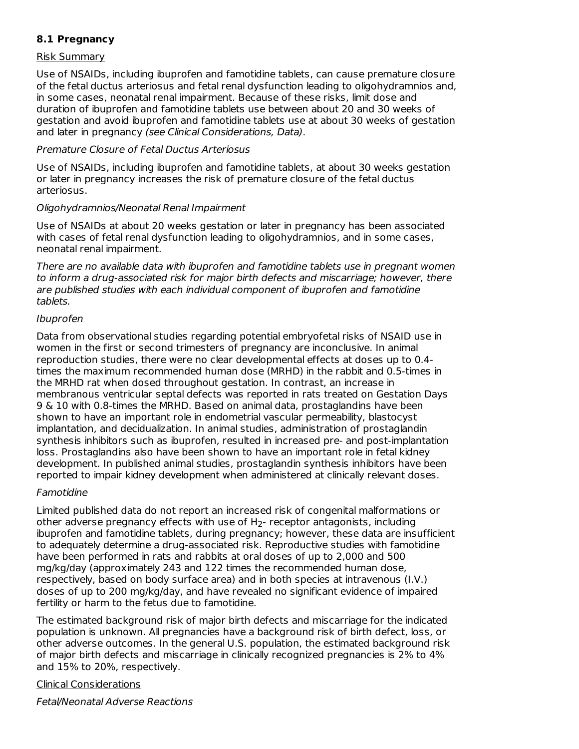### **8.1 Pregnancy**

#### Risk Summary

Use of NSAIDs, including ibuprofen and famotidine tablets, can cause premature closure of the fetal ductus arteriosus and fetal renal dysfunction leading to oligohydramnios and, in some cases, neonatal renal impairment. Because of these risks, limit dose and duration of ibuprofen and famotidine tablets use between about 20 and 30 weeks of gestation and avoid ibuprofen and famotidine tablets use at about 30 weeks of gestation and later in pregnancy (see Clinical Considerations, Data).

#### Premature Closure of Fetal Ductus Arteriosus

Use of NSAIDs, including ibuprofen and famotidine tablets, at about 30 weeks gestation or later in pregnancy increases the risk of premature closure of the fetal ductus arteriosus.

#### Oligohydramnios/Neonatal Renal Impairment

Use of NSAIDs at about 20 weeks gestation or later in pregnancy has been associated with cases of fetal renal dysfunction leading to oligohydramnios, and in some cases, neonatal renal impairment.

There are no available data with ibuprofen and famotidine tablets use in pregnant women to inform a drug-associated risk for major birth defects and miscarriage; however, there are published studies with each individual component of ibuprofen and famotidine tablets.

#### Ibuprofen

Data from observational studies regarding potential embryofetal risks of NSAID use in women in the first or second trimesters of pregnancy are inconclusive. In animal reproduction studies, there were no clear developmental effects at doses up to 0.4 times the maximum recommended human dose (MRHD) in the rabbit and 0.5-times in the MRHD rat when dosed throughout gestation. In contrast, an increase in membranous ventricular septal defects was reported in rats treated on Gestation Days 9 & 10 with 0.8-times the MRHD. Based on animal data, prostaglandins have been shown to have an important role in endometrial vascular permeability, blastocyst implantation, and decidualization. In animal studies, administration of prostaglandin synthesis inhibitors such as ibuprofen, resulted in increased pre- and post-implantation loss. Prostaglandins also have been shown to have an important role in fetal kidney development. In published animal studies, prostaglandin synthesis inhibitors have been reported to impair kidney development when administered at clinically relevant doses.

#### Famotidine

Limited published data do not report an increased risk of congenital malformations or other adverse pregnancy effects with use of  $H_2$ - receptor antagonists, including ibuprofen and famotidine tablets, during pregnancy; however, these data are insufficient to adequately determine a drug-associated risk. Reproductive studies with famotidine have been performed in rats and rabbits at oral doses of up to 2,000 and 500 mg/kg/day (approximately 243 and 122 times the recommended human dose, respectively, based on body surface area) and in both species at intravenous (I.V.) doses of up to 200 mg/kg/day, and have revealed no significant evidence of impaired fertility or harm to the fetus due to famotidine.

The estimated background risk of major birth defects and miscarriage for the indicated population is unknown. All pregnancies have a background risk of birth defect, loss, or other adverse outcomes. In the general U.S. population, the estimated background risk of major birth defects and miscarriage in clinically recognized pregnancies is 2% to 4% and 15% to 20%, respectively.

#### Clinical Considerations

Fetal/Neonatal Adverse Reactions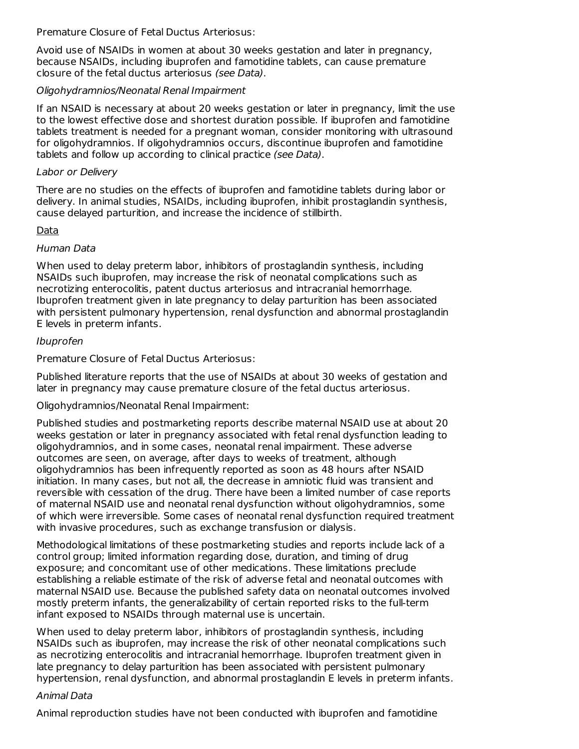Premature Closure of Fetal Ductus Arteriosus:

Avoid use of NSAIDs in women at about 30 weeks gestation and later in pregnancy, because NSAIDs, including ibuprofen and famotidine tablets, can cause premature closure of the fetal ductus arteriosus (see Data).

#### Oligohydramnios/Neonatal Renal Impairment

If an NSAID is necessary at about 20 weeks gestation or later in pregnancy, limit the use to the lowest effective dose and shortest duration possible. If ibuprofen and famotidine tablets treatment is needed for a pregnant woman, consider monitoring with ultrasound for oligohydramnios. If oligohydramnios occurs, discontinue ibuprofen and famotidine tablets and follow up according to clinical practice (see Data).

#### Labor or Delivery

There are no studies on the effects of ibuprofen and famotidine tablets during labor or delivery. In animal studies, NSAIDs, including ibuprofen, inhibit prostaglandin synthesis, cause delayed parturition, and increase the incidence of stillbirth.

#### Data

### Human Data

When used to delay preterm labor, inhibitors of prostaglandin synthesis, including NSAIDs such ibuprofen, may increase the risk of neonatal complications such as necrotizing enterocolitis, patent ductus arteriosus and intracranial hemorrhage. Ibuprofen treatment given in late pregnancy to delay parturition has been associated with persistent pulmonary hypertension, renal dysfunction and abnormal prostaglandin E levels in preterm infants.

#### Ibuprofen

Premature Closure of Fetal Ductus Arteriosus:

Published literature reports that the use of NSAIDs at about 30 weeks of gestation and later in pregnancy may cause premature closure of the fetal ductus arteriosus.

### Oligohydramnios/Neonatal Renal Impairment:

Published studies and postmarketing reports describe maternal NSAID use at about 20 weeks gestation or later in pregnancy associated with fetal renal dysfunction leading to oligohydramnios, and in some cases, neonatal renal impairment. These adverse outcomes are seen, on average, after days to weeks of treatment, although oligohydramnios has been infrequently reported as soon as 48 hours after NSAID initiation. In many cases, but not all, the decrease in amniotic fluid was transient and reversible with cessation of the drug. There have been a limited number of case reports of maternal NSAID use and neonatal renal dysfunction without oligohydramnios, some of which were irreversible. Some cases of neonatal renal dysfunction required treatment with invasive procedures, such as exchange transfusion or dialysis.

Methodological limitations of these postmarketing studies and reports include lack of a control group; limited information regarding dose, duration, and timing of drug exposure; and concomitant use of other medications. These limitations preclude establishing a reliable estimate of the risk of adverse fetal and neonatal outcomes with maternal NSAID use. Because the published safety data on neonatal outcomes involved mostly preterm infants, the generalizability of certain reported risks to the full-term infant exposed to NSAIDs through maternal use is uncertain.

When used to delay preterm labor, inhibitors of prostaglandin synthesis, including NSAIDs such as ibuprofen, may increase the risk of other neonatal complications such as necrotizing enterocolitis and intracranial hemorrhage. Ibuprofen treatment given in late pregnancy to delay parturition has been associated with persistent pulmonary hypertension, renal dysfunction, and abnormal prostaglandin E levels in preterm infants.

#### Animal Data

Animal reproduction studies have not been conducted with ibuprofen and famotidine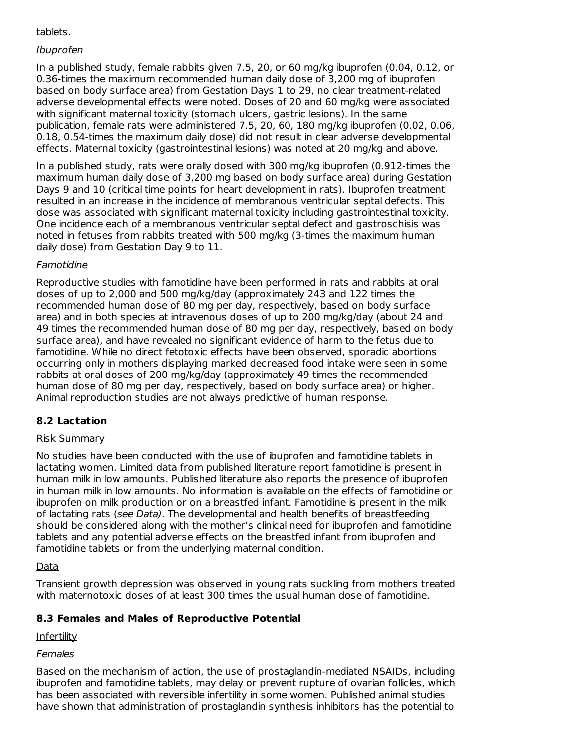### tablets.

### Ibuprofen

In a published study, female rabbits given 7.5, 20, or 60 mg/kg ibuprofen (0.04, 0.12, or 0.36-times the maximum recommended human daily dose of 3,200 mg of ibuprofen based on body surface area) from Gestation Days 1 to 29, no clear treatment-related adverse developmental effects were noted. Doses of 20 and 60 mg/kg were associated with significant maternal toxicity (stomach ulcers, gastric lesions). In the same publication, female rats were administered 7.5, 20, 60, 180 mg/kg ibuprofen (0.02, 0.06, 0.18, 0.54-times the maximum daily dose) did not result in clear adverse developmental effects. Maternal toxicity (gastrointestinal lesions) was noted at 20 mg/kg and above.

In a published study, rats were orally dosed with 300 mg/kg ibuprofen (0.912-times the maximum human daily dose of 3,200 mg based on body surface area) during Gestation Days 9 and 10 (critical time points for heart development in rats). Ibuprofen treatment resulted in an increase in the incidence of membranous ventricular septal defects. This dose was associated with significant maternal toxicity including gastrointestinal toxicity. One incidence each of a membranous ventricular septal defect and gastroschisis was noted in fetuses from rabbits treated with 500 mg/kg (3-times the maximum human daily dose) from Gestation Day 9 to 11.

### Famotidine

Reproductive studies with famotidine have been performed in rats and rabbits at oral doses of up to 2,000 and 500 mg/kg/day (approximately 243 and 122 times the recommended human dose of 80 mg per day, respectively, based on body surface area) and in both species at intravenous doses of up to 200 mg/kg/day (about 24 and 49 times the recommended human dose of 80 mg per day, respectively, based on body surface area), and have revealed no significant evidence of harm to the fetus due to famotidine. While no direct fetotoxic effects have been observed, sporadic abortions occurring only in mothers displaying marked decreased food intake were seen in some rabbits at oral doses of 200 mg/kg/day (approximately 49 times the recommended human dose of 80 mg per day, respectively, based on body surface area) or higher. Animal reproduction studies are not always predictive of human response.

### **8.2 Lactation**

#### Risk Summary

No studies have been conducted with the use of ibuprofen and famotidine tablets in lactating women. Limited data from published literature report famotidine is present in human milk in low amounts. Published literature also reports the presence of ibuprofen in human milk in low amounts. No information is available on the effects of famotidine or ibuprofen on milk production or on a breastfed infant. Famotidine is present in the milk of lactating rats (see Data). The developmental and health benefits of breastfeeding should be considered along with the mother's clinical need for ibuprofen and famotidine tablets and any potential adverse effects on the breastfed infant from ibuprofen and famotidine tablets or from the underlying maternal condition.

#### Data

Transient growth depression was observed in young rats suckling from mothers treated with maternotoxic doses of at least 300 times the usual human dose of famotidine.

### **8.3 Females and Males of Reproductive Potential**

**Infertility** 

#### Females

Based on the mechanism of action, the use of prostaglandin-mediated NSAIDs, including ibuprofen and famotidine tablets, may delay or prevent rupture of ovarian follicles, which has been associated with reversible infertility in some women. Published animal studies have shown that administration of prostaglandin synthesis inhibitors has the potential to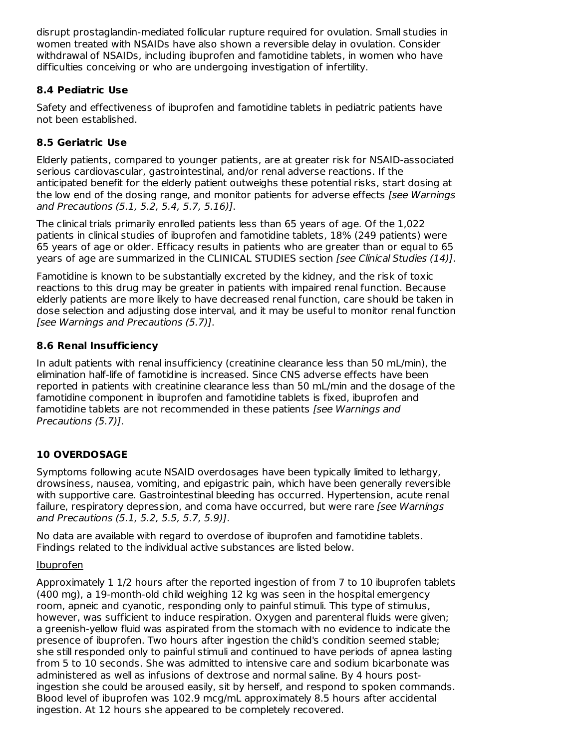disrupt prostaglandin-mediated follicular rupture required for ovulation. Small studies in women treated with NSAIDs have also shown a reversible delay in ovulation. Consider withdrawal of NSAIDs, including ibuprofen and famotidine tablets, in women who have difficulties conceiving or who are undergoing investigation of infertility.

### **8.4 Pediatric Use**

Safety and effectiveness of ibuprofen and famotidine tablets in pediatric patients have not been established.

# **8.5 Geriatric Use**

Elderly patients, compared to younger patients, are at greater risk for NSAID-associated serious cardiovascular, gastrointestinal, and/or renal adverse reactions. If the anticipated benefit for the elderly patient outweighs these potential risks, start dosing at the low end of the dosing range, and monitor patients for adverse effects *[see Warnings* and Precautions (5.1, 5.2, 5.4, 5.7, 5.16)].

The clinical trials primarily enrolled patients less than 65 years of age. Of the 1,022 patients in clinical studies of ibuprofen and famotidine tablets, 18% (249 patients) were 65 years of age or older. Efficacy results in patients who are greater than or equal to 65 years of age are summarized in the CLINICAL STUDIES section [see Clinical Studies (14)].

Famotidine is known to be substantially excreted by the kidney, and the risk of toxic reactions to this drug may be greater in patients with impaired renal function. Because elderly patients are more likely to have decreased renal function, care should be taken in dose selection and adjusting dose interval, and it may be useful to monitor renal function [see Warnings and Precautions (5.7)].

# **8.6 Renal Insufficiency**

In adult patients with renal insufficiency (creatinine clearance less than 50 mL/min), the elimination half-life of famotidine is increased. Since CNS adverse effects have been reported in patients with creatinine clearance less than 50 mL/min and the dosage of the famotidine component in ibuprofen and famotidine tablets is fixed, ibuprofen and famotidine tablets are not recommended in these patients [see Warnings and Precautions (5.7)].

# **10 OVERDOSAGE**

Symptoms following acute NSAID overdosages have been typically limited to lethargy, drowsiness, nausea, vomiting, and epigastric pain, which have been generally reversible with supportive care. Gastrointestinal bleeding has occurred. Hypertension, acute renal failure, respiratory depression, and coma have occurred, but were rare *[see Warnings* and Precautions (5.1, 5.2, 5.5, 5.7, 5.9)].

No data are available with regard to overdose of ibuprofen and famotidine tablets. Findings related to the individual active substances are listed below.

## Ibuprofen

Approximately 1 1/2 hours after the reported ingestion of from 7 to 10 ibuprofen tablets (400 mg), a 19-month-old child weighing 12 kg was seen in the hospital emergency room, apneic and cyanotic, responding only to painful stimuli. This type of stimulus, however, was sufficient to induce respiration. Oxygen and parenteral fluids were given; a greenish-yellow fluid was aspirated from the stomach with no evidence to indicate the presence of ibuprofen. Two hours after ingestion the child's condition seemed stable; she still responded only to painful stimuli and continued to have periods of apnea lasting from 5 to 10 seconds. She was admitted to intensive care and sodium bicarbonate was administered as well as infusions of dextrose and normal saline. By 4 hours postingestion she could be aroused easily, sit by herself, and respond to spoken commands. Blood level of ibuprofen was 102.9 mcg/mL approximately 8.5 hours after accidental ingestion. At 12 hours she appeared to be completely recovered.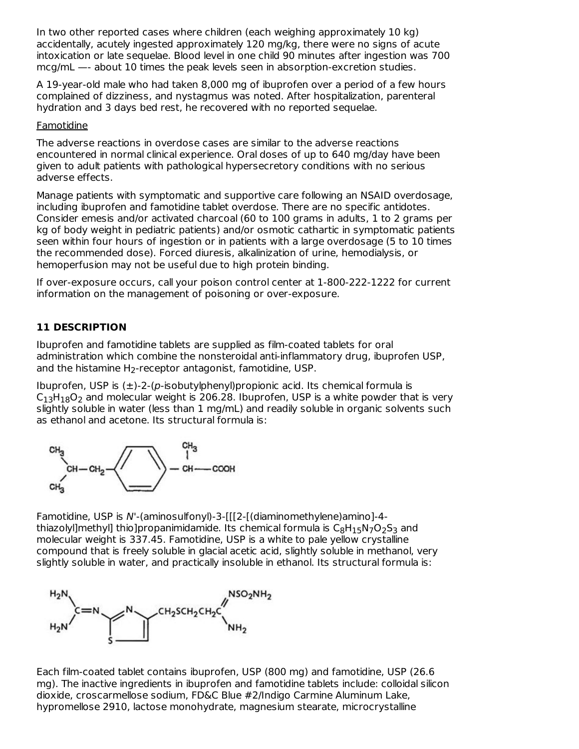In two other reported cases where children (each weighing approximately 10 kg) accidentally, acutely ingested approximately 120 mg/kg, there were no signs of acute intoxication or late sequelae. Blood level in one child 90 minutes after ingestion was 700 mcg/mL —- about 10 times the peak levels seen in absorption-excretion studies.

A 19-year-old male who had taken 8,000 mg of ibuprofen over a period of a few hours complained of dizziness, and nystagmus was noted. After hospitalization, parenteral hydration and 3 days bed rest, he recovered with no reported sequelae.

#### **Famotidine**

The adverse reactions in overdose cases are similar to the adverse reactions encountered in normal clinical experience. Oral doses of up to 640 mg/day have been given to adult patients with pathological hypersecretory conditions with no serious adverse effects.

Manage patients with symptomatic and supportive care following an NSAID overdosage, including ibuprofen and famotidine tablet overdose. There are no specific antidotes. Consider emesis and/or activated charcoal (60 to 100 grams in adults, 1 to 2 grams per kg of body weight in pediatric patients) and/or osmotic cathartic in symptomatic patients seen within four hours of ingestion or in patients with a large overdosage (5 to 10 times the recommended dose). Forced diuresis, alkalinization of urine, hemodialysis, or hemoperfusion may not be useful due to high protein binding.

If over-exposure occurs, call your poison control center at 1-800-222-1222 for current information on the management of poisoning or over-exposure.

### **11 DESCRIPTION**

Ibuprofen and famotidine tablets are supplied as film-coated tablets for oral administration which combine the nonsteroidal anti-inflammatory drug, ibuprofen USP, and the histamine  $H_2$ -receptor antagonist, famotidine, USP.

Ibuprofen, USP is  $(\pm)$ -2- $(p$ -isobutylphenyl)propionic acid. Its chemical formula is  $C_{13}H_{18}O_2$  and molecular weight is 206.28. Ibuprofen, USP is a white powder that is very slightly soluble in water (less than 1 mg/mL) and readily soluble in organic solvents such as ethanol and acetone. Its structural formula is:



Famotidine, USP is N'-(aminosulfonyl)-3-[[[2-[(diaminomethylene)amino]-4 thiazolyl]methyl] thio]propanimidamide. Its chemical formula is  $\mathsf{C}_8\mathsf{H}_1$ 5N7O $_2$ S $_3$  and molecular weight is 337.45. Famotidine, USP is a white to pale yellow crystalline compound that is freely soluble in glacial acetic acid, slightly soluble in methanol, very slightly soluble in water, and practically insoluble in ethanol. Its structural formula is:



Each film-coated tablet contains ibuprofen, USP (800 mg) and famotidine, USP (26.6 mg). The inactive ingredients in ibuprofen and famotidine tablets include: colloidal silicon dioxide, croscarmellose sodium, FD&C Blue #2/Indigo Carmine Aluminum Lake, hypromellose 2910, lactose monohydrate, magnesium stearate, microcrystalline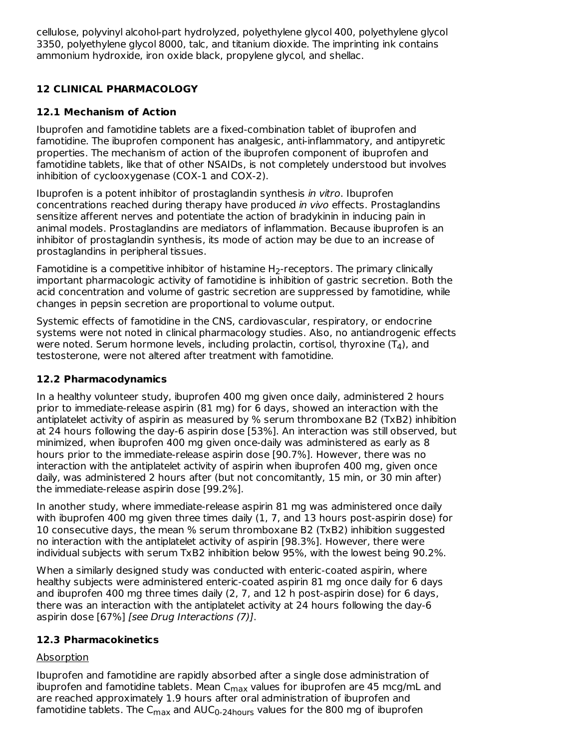cellulose, polyvinyl alcohol-part hydrolyzed, polyethylene glycol 400, polyethylene glycol 3350, polyethylene glycol 8000, talc, and titanium dioxide. The imprinting ink contains ammonium hydroxide, iron oxide black, propylene glycol, and shellac.

# **12 CLINICAL PHARMACOLOGY**

## **12.1 Mechanism of Action**

Ibuprofen and famotidine tablets are a fixed-combination tablet of ibuprofen and famotidine. The ibuprofen component has analgesic, anti-inflammatory, and antipyretic properties. The mechanism of action of the ibuprofen component of ibuprofen and famotidine tablets, like that of other NSAIDs, is not completely understood but involves inhibition of cyclooxygenase (COX-1 and COX-2).

Ibuprofen is a potent inhibitor of prostaglandin synthesis in vitro. Ibuprofen concentrations reached during therapy have produced in vivo effects. Prostaglandins sensitize afferent nerves and potentiate the action of bradykinin in inducing pain in animal models. Prostaglandins are mediators of inflammation. Because ibuprofen is an inhibitor of prostaglandin synthesis, its mode of action may be due to an increase of prostaglandins in peripheral tissues.

Famotidine is a competitive inhibitor of histamine  $H_2$ -receptors. The primary clinically important pharmacologic activity of famotidine is inhibition of gastric secretion. Both the acid concentration and volume of gastric secretion are suppressed by famotidine, while changes in pepsin secretion are proportional to volume output.

Systemic effects of famotidine in the CNS, cardiovascular, respiratory, or endocrine systems were not noted in clinical pharmacology studies. Also, no antiandrogenic effects were noted. Serum hormone levels, including prolactin, cortisol, thyroxine (T<sub>4</sub>), and testosterone, were not altered after treatment with famotidine.

### **12.2 Pharmacodynamics**

In a healthy volunteer study, ibuprofen 400 mg given once daily, administered 2 hours prior to immediate-release aspirin (81 mg) for 6 days, showed an interaction with the antiplatelet activity of aspirin as measured by % serum thromboxane B2 (TxB2) inhibition at 24 hours following the day-6 aspirin dose [53%]. An interaction was still observed, but minimized, when ibuprofen 400 mg given once-daily was administered as early as 8 hours prior to the immediate-release aspirin dose [90.7%]. However, there was no interaction with the antiplatelet activity of aspirin when ibuprofen 400 mg, given once daily, was administered 2 hours after (but not concomitantly, 15 min, or 30 min after) the immediate-release aspirin dose [99.2%].

In another study, where immediate-release aspirin 81 mg was administered once daily with ibuprofen 400 mg given three times daily (1, 7, and 13 hours post-aspirin dose) for 10 consecutive days, the mean % serum thromboxane B2 (TxB2) inhibition suggested no interaction with the antiplatelet activity of aspirin [98.3%]. However, there were individual subjects with serum TxB2 inhibition below 95%, with the lowest being 90.2%.

When a similarly designed study was conducted with enteric-coated aspirin, where healthy subjects were administered enteric-coated aspirin 81 mg once daily for 6 days and ibuprofen 400 mg three times daily (2, 7, and 12 h post-aspirin dose) for 6 days, there was an interaction with the antiplatelet activity at 24 hours following the day-6 aspirin dose [67%] [see Drug Interactions (7)].

## **12.3 Pharmacokinetics**

## Absorption

Ibuprofen and famotidine are rapidly absorbed after a single dose administration of ibuprofen and famotidine tablets. Mean C<sub>max</sub> values for ibuprofen are 45 mcg/mL and are reached approximately 1.9 hours after oral administration of ibuprofen and famotidine tablets. The C<sub>max</sub> and AUC<sub>0-24hours</sub> values for the 800 mg of ibuprofen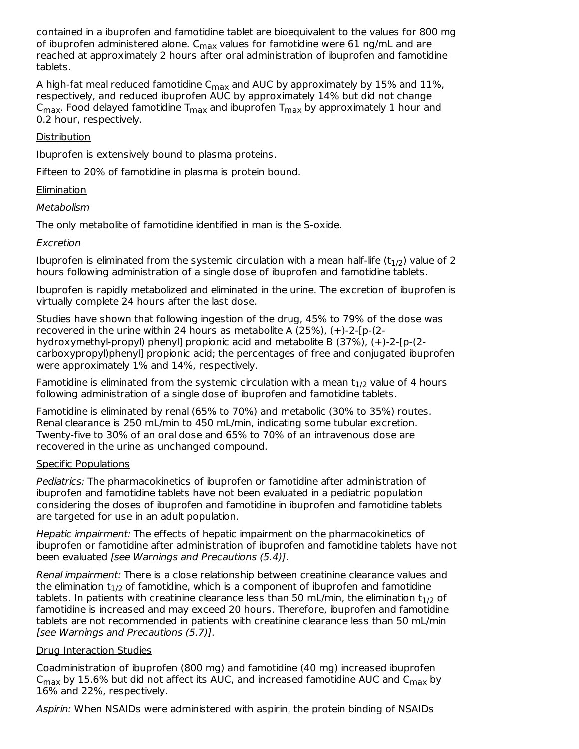contained in a ibuprofen and famotidine tablet are bioequivalent to the values for 800 mg of ibuprofen administered alone.  $\mathsf{C}_{\mathsf{max}}$  values for famotidine were 61 ng/mL and are reached at approximately 2 hours after oral administration of ibuprofen and famotidine tablets.

A high-fat meal reduced famotidine C<sub>max</sub> and AUC by approximately by  $15\%$  and  $11\%$ , respectively, and reduced ibuprofen AUC by approximately 14% but did not change  $\mathsf{C}_{\mathsf{max}}$ . Food delayed famotidine  $\mathsf{T}_{\mathsf{max}}$  and ibuprofen  $\mathsf{T}_{\mathsf{max}}$  by approximately 1 hour and 0.2 hour, respectively.

### **Distribution**

Ibuprofen is extensively bound to plasma proteins.

Fifteen to 20% of famotidine in plasma is protein bound.

### **Elimination**

#### Metabolism

The only metabolite of famotidine identified in man is the S-oxide.

### Excretion

Ibuprofen is eliminated from the systemic circulation with a mean half-life (t $_{\rm 1/2}$ ) value of 2 hours following administration of a single dose of ibuprofen and famotidine tablets.

Ibuprofen is rapidly metabolized and eliminated in the urine. The excretion of ibuprofen is virtually complete 24 hours after the last dose.

Studies have shown that following ingestion of the drug, 45% to 79% of the dose was recovered in the urine within 24 hours as metabolite A (25%), (+)-2-[p-(2 hydroxymethyl-propyl) phenyl] propionic acid and metabolite B (37%), (+)-2-[p-(2 carboxypropyl)phenyl] propionic acid; the percentages of free and conjugated ibuprofen were approximately 1% and 14%, respectively.

Famotidine is eliminated from the systemic circulation with a mean  $t_{1/2}$  value of 4 hours following administration of a single dose of ibuprofen and famotidine tablets.

Famotidine is eliminated by renal (65% to 70%) and metabolic (30% to 35%) routes. Renal clearance is 250 mL/min to 450 mL/min, indicating some tubular excretion. Twenty-five to 30% of an oral dose and 65% to 70% of an intravenous dose are recovered in the urine as unchanged compound.

#### Specific Populations

Pediatrics: The pharmacokinetics of ibuprofen or famotidine after administration of ibuprofen and famotidine tablets have not been evaluated in a pediatric population considering the doses of ibuprofen and famotidine in ibuprofen and famotidine tablets are targeted for use in an adult population.

Hepatic impairment: The effects of hepatic impairment on the pharmacokinetics of ibuprofen or famotidine after administration of ibuprofen and famotidine tablets have not been evaluated [see Warnings and Precautions (5.4)].

Renal impairment: There is a close relationship between creatinine clearance values and the elimination  ${\rm t}_{1/2}$  of famotidine, which is a component of ibuprofen and famotidine tablets. In patients with creatinine clearance less than 50 mL/min, the elimination  ${\rm t}_{1/2}$  of famotidine is increased and may exceed 20 hours. Therefore, ibuprofen and famotidine tablets are not recommended in patients with creatinine clearance less than 50 mL/min [see Warnings and Precautions (5.7)].

### Drug Interaction Studies

Coadministration of ibuprofen (800 mg) and famotidine (40 mg) increased ibuprofen  $\mathsf{C}_{\mathsf{max}}$  by 15.6% but did not affect its AUC, and increased famotidine AUC and  $\mathsf{C}_{\mathsf{max}}$  by 16% and 22%, respectively.

Aspirin: When NSAIDs were administered with aspirin, the protein binding of NSAIDs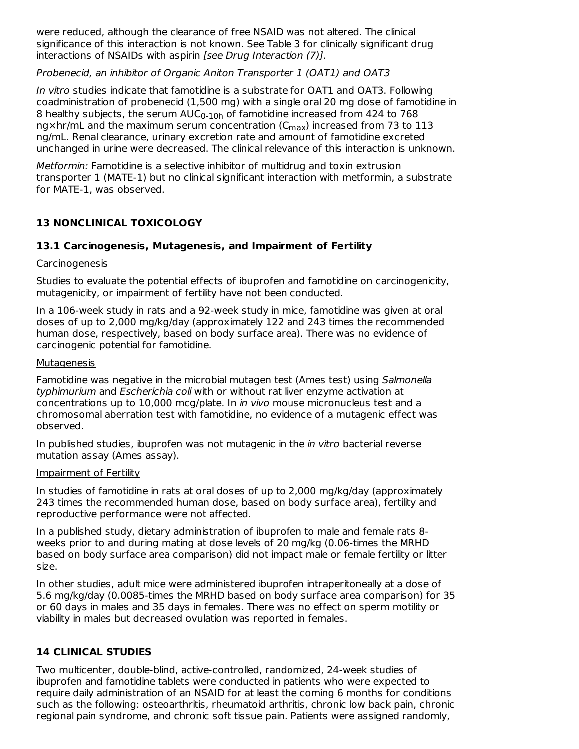were reduced, although the clearance of free NSAID was not altered. The clinical significance of this interaction is not known. See Table 3 for clinically significant drug interactions of NSAIDs with aspirin [see Drug Interaction (7)].

Probenecid, an inhibitor of Organic Aniton Transporter 1 (OAT1) and OAT3

In vitro studies indicate that famotidine is a substrate for OAT1 and OAT3. Following coadministration of probenecid (1,500 mg) with a single oral 20 mg dose of famotidine in 8 healthy subjects, the serum  $\mathsf{AUC}_{0\text{-}10\mathsf{h}}$  of famotidine increased from 424 to 768 ng $\times$ hr/mL and the maximum serum concentration (C $_{\sf max}$ ) increased from 73 to 113 ng/mL. Renal clearance, urinary excretion rate and amount of famotidine excreted unchanged in urine were decreased. The clinical relevance of this interaction is unknown.

Metformin: Famotidine is a selective inhibitor of multidrug and toxin extrusion transporter 1 (MATE-1) but no clinical significant interaction with metformin, a substrate for MATE-1, was observed.

## **13 NONCLINICAL TOXICOLOGY**

### **13.1 Carcinogenesis, Mutagenesis, and Impairment of Fertility**

### Carcinogenesis

Studies to evaluate the potential effects of ibuprofen and famotidine on carcinogenicity, mutagenicity, or impairment of fertility have not been conducted.

In a 106-week study in rats and a 92-week study in mice, famotidine was given at oral doses of up to 2,000 mg/kg/day (approximately 122 and 243 times the recommended human dose, respectively, based on body surface area). There was no evidence of carcinogenic potential for famotidine.

### Mutagenesis

Famotidine was negative in the microbial mutagen test (Ames test) using Salmonella typhimurium and Escherichia coli with or without rat liver enzyme activation at concentrations up to 10,000 mcg/plate. In in vivo mouse micronucleus test and a chromosomal aberration test with famotidine, no evidence of a mutagenic effect was observed.

In published studies, ibuprofen was not mutagenic in the *in vitro* bacterial reverse mutation assay (Ames assay).

### Impairment of Fertility

In studies of famotidine in rats at oral doses of up to 2,000 mg/kg/day (approximately 243 times the recommended human dose, based on body surface area), fertility and reproductive performance were not affected.

In a published study, dietary administration of ibuprofen to male and female rats 8 weeks prior to and during mating at dose levels of 20 mg/kg (0.06-times the MRHD based on body surface area comparison) did not impact male or female fertility or litter size.

In other studies, adult mice were administered ibuprofen intraperitoneally at a dose of 5.6 mg/kg/day (0.0085-times the MRHD based on body surface area comparison) for 35 or 60 days in males and 35 days in females. There was no effect on sperm motility or viability in males but decreased ovulation was reported in females.

## **14 CLINICAL STUDIES**

Two multicenter, double-blind, active-controlled, randomized, 24-week studies of ibuprofen and famotidine tablets were conducted in patients who were expected to require daily administration of an NSAID for at least the coming 6 months for conditions such as the following: osteoarthritis, rheumatoid arthritis, chronic low back pain, chronic regional pain syndrome, and chronic soft tissue pain. Patients were assigned randomly,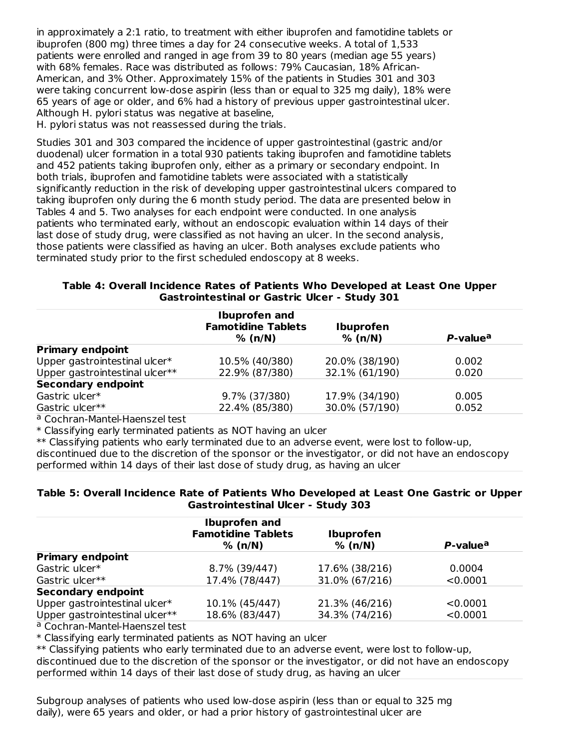in approximately a 2:1 ratio, to treatment with either ibuprofen and famotidine tablets or ibuprofen (800 mg) three times a day for 24 consecutive weeks. A total of 1,533 patients were enrolled and ranged in age from 39 to 80 years (median age 55 years) with 68% females. Race was distributed as follows: 79% Caucasian, 18% African-American, and 3% Other. Approximately 15% of the patients in Studies 301 and 303 were taking concurrent low-dose aspirin (less than or equal to 325 mg daily), 18% were 65 years of age or older, and 6% had a history of previous upper gastrointestinal ulcer. Although H. pylori status was negative at baseline,

H. pylori status was not reassessed during the trials.

Studies 301 and 303 compared the incidence of upper gastrointestinal (gastric and/or duodenal) ulcer formation in a total 930 patients taking ibuprofen and famotidine tablets and 452 patients taking ibuprofen only, either as a primary or secondary endpoint. In both trials, ibuprofen and famotidine tablets were associated with a statistically significantly reduction in the risk of developing upper gastrointestinal ulcers compared to taking ibuprofen only during the 6 month study period. The data are presented below in Tables 4 and 5. Two analyses for each endpoint were conducted. In one analysis patients who terminated early, without an endoscopic evaluation within 14 days of their last dose of study drug, were classified as not having an ulcer. In the second analysis, those patients were classified as having an ulcer. Both analyses exclude patients who terminated study prior to the first scheduled endoscopy at 8 weeks.

#### **Table 4: Overall Incidence Rates of Patients Who Developed at Least One Upper Gastrointestinal or Gastric Ulcer - Study 301**

|                                | <b>Ibuprofen and</b><br><b>Famotidine Tablets</b><br>% (n/N) | <b>Ibuprofen</b><br>% (n/N) | P-value <sup>a</sup> |
|--------------------------------|--------------------------------------------------------------|-----------------------------|----------------------|
| <b>Primary endpoint</b>        |                                                              |                             |                      |
| Upper gastrointestinal ulcer*  | 10.5% (40/380)                                               | 20.0% (38/190)              | 0.002                |
| Upper gastrointestinal ulcer** | 22.9% (87/380)                                               | 32.1% (61/190)              | 0.020                |
| <b>Secondary endpoint</b>      |                                                              |                             |                      |
| Gastric ulcer*                 | 9.7% (37/380)                                                | 17.9% (34/190)              | 0.005                |
| Gastric ulcer**                | 22.4% (85/380)                                               | 30.0% (57/190)              | 0.052                |
|                                |                                                              |                             |                      |

a Cochran-Mantel-Haenszel test

\* Classifying early terminated patients as NOT having an ulcer

\*\* Classifying patients who early terminated due to an adverse event, were lost to follow-up, discontinued due to the discretion of the sponsor or the investigator, or did not have an endoscopy performed within 14 days of their last dose of study drug, as having an ulcer

### **Table 5: Overall Incidence Rate of Patients Who Developed at Least One Gastric or Upper Gastrointestinal Ulcer - Study 303**

|                                | <b>Ibuprofen and</b>                 |                             |                      |
|--------------------------------|--------------------------------------|-----------------------------|----------------------|
|                                | <b>Famotidine Tablets</b><br>% (n/N) | <b>Ibuprofen</b><br>% (n/N) | P-value <sup>a</sup> |
| <b>Primary endpoint</b>        |                                      |                             |                      |
| Gastric ulcer*                 | 8.7% (39/447)                        | 17.6% (38/216)              | 0.0004               |
| Gastric ulcer**                | 17.4% (78/447)                       | 31.0% (67/216)              | < 0.0001             |
| <b>Secondary endpoint</b>      |                                      |                             |                      |
| Upper gastrointestinal ulcer*  | 10.1% (45/447)                       | 21.3% (46/216)              | < 0.0001             |
| Upper gastrointestinal ulcer** | 18.6% (83/447)                       | 34.3% (74/216)              | < 0.0001             |

a Cochran-Mantel-Haenszel test

\* Classifying early terminated patients as NOT having an ulcer

\*\* Classifying patients who early terminated due to an adverse event, were lost to follow-up,

discontinued due to the discretion of the sponsor or the investigator, or did not have an endoscopy performed within 14 days of their last dose of study drug, as having an ulcer

Subgroup analyses of patients who used low-dose aspirin (less than or equal to 325 mg daily), were 65 years and older, or had a prior history of gastrointestinal ulcer are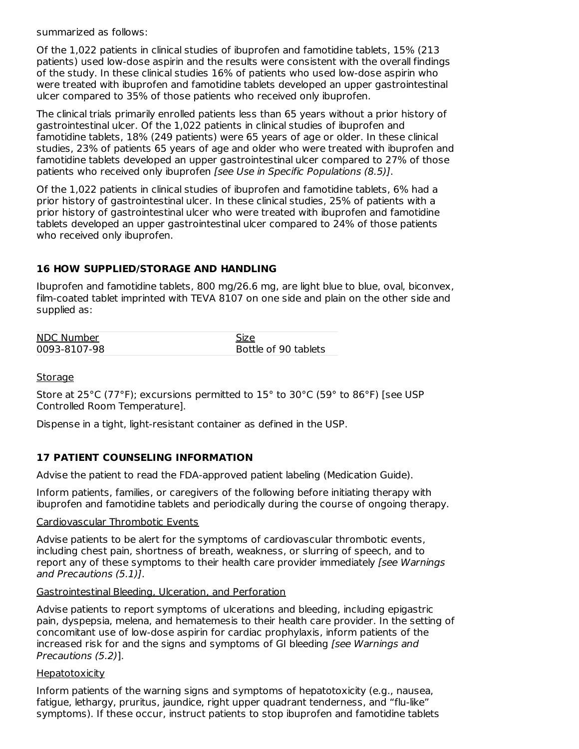summarized as follows:

Of the 1,022 patients in clinical studies of ibuprofen and famotidine tablets, 15% (213 patients) used low-dose aspirin and the results were consistent with the overall findings of the study. In these clinical studies 16% of patients who used low-dose aspirin who were treated with ibuprofen and famotidine tablets developed an upper gastrointestinal ulcer compared to 35% of those patients who received only ibuprofen.

The clinical trials primarily enrolled patients less than 65 years without a prior history of gastrointestinal ulcer. Of the 1,022 patients in clinical studies of ibuprofen and famotidine tablets, 18% (249 patients) were 65 years of age or older. In these clinical studies, 23% of patients 65 years of age and older who were treated with ibuprofen and famotidine tablets developed an upper gastrointestinal ulcer compared to 27% of those patients who received only ibuprofen [see Use in Specific Populations (8.5)].

Of the 1,022 patients in clinical studies of ibuprofen and famotidine tablets, 6% had a prior history of gastrointestinal ulcer. In these clinical studies, 25% of patients with a prior history of gastrointestinal ulcer who were treated with ibuprofen and famotidine tablets developed an upper gastrointestinal ulcer compared to 24% of those patients who received only ibuprofen.

### **16 HOW SUPPLIED/STORAGE AND HANDLING**

Ibuprofen and famotidine tablets, 800 mg/26.6 mg, are light blue to blue, oval, biconvex, film-coated tablet imprinted with TEVA 8107 on one side and plain on the other side and supplied as:

| <b>NDC Number</b> | Size                 |
|-------------------|----------------------|
| 0093-8107-98      | Bottle of 90 tablets |

### **Storage**

Store at 25°C (77°F); excursions permitted to 15° to 30°C (59° to 86°F) [see USP Controlled Room Temperature].

Dispense in a tight, light-resistant container as defined in the USP.

## **17 PATIENT COUNSELING INFORMATION**

Advise the patient to read the FDA-approved patient labeling (Medication Guide).

Inform patients, families, or caregivers of the following before initiating therapy with ibuprofen and famotidine tablets and periodically during the course of ongoing therapy.

#### Cardiovascular Thrombotic Events

Advise patients to be alert for the symptoms of cardiovascular thrombotic events, including chest pain, shortness of breath, weakness, or slurring of speech, and to report any of these symptoms to their health care provider immediately [see Warnings] and Precautions (5.1)].

### Gastrointestinal Bleeding, Ulceration, and Perforation

Advise patients to report symptoms of ulcerations and bleeding, including epigastric pain, dyspepsia, melena, and hematemesis to their health care provider. In the setting of concomitant use of low-dose aspirin for cardiac prophylaxis, inform patients of the increased risk for and the signs and symptoms of GI bleeding [see Warnings and Precautions (5.2)].

### **Hepatotoxicity**

Inform patients of the warning signs and symptoms of hepatotoxicity (e.g., nausea, fatigue, lethargy, pruritus, jaundice, right upper quadrant tenderness, and "flu-like" symptoms). If these occur, instruct patients to stop ibuprofen and famotidine tablets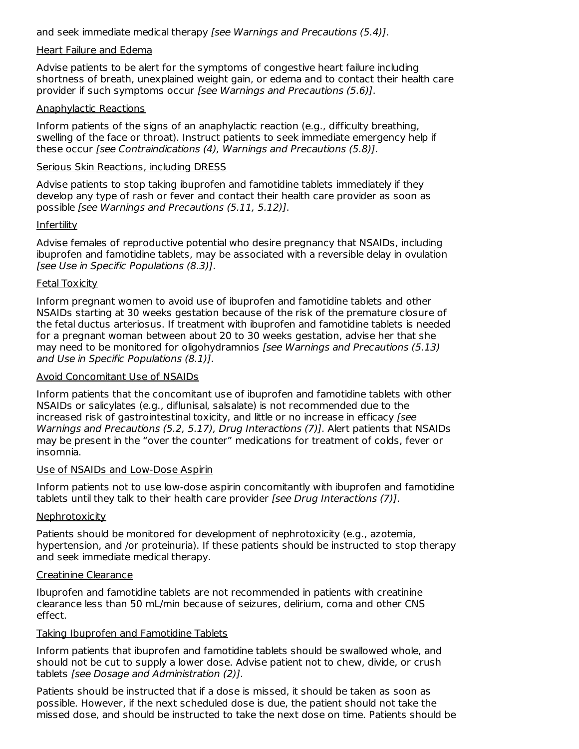and seek immediate medical therapy [see Warnings and Precautions (5.4)].

#### Heart Failure and Edema

Advise patients to be alert for the symptoms of congestive heart failure including shortness of breath, unexplained weight gain, or edema and to contact their health care provider if such symptoms occur [see Warnings and Precautions (5.6)].

#### Anaphylactic Reactions

Inform patients of the signs of an anaphylactic reaction (e.g., difficulty breathing, swelling of the face or throat). Instruct patients to seek immediate emergency help if these occur [see Contraindications (4), Warnings and Precautions (5.8)].

#### Serious Skin Reactions, including DRESS

Advise patients to stop taking ibuprofen and famotidine tablets immediately if they develop any type of rash or fever and contact their health care provider as soon as possible [see Warnings and Precautions (5.11, 5.12)].

#### Infertility

Advise females of reproductive potential who desire pregnancy that NSAIDs, including ibuprofen and famotidine tablets, may be associated with a reversible delay in ovulation [see Use in Specific Populations (8.3)].

### Fetal Toxicity

Inform pregnant women to avoid use of ibuprofen and famotidine tablets and other NSAIDs starting at 30 weeks gestation because of the risk of the premature closure of the fetal ductus arteriosus. If treatment with ibuprofen and famotidine tablets is needed for a pregnant woman between about 20 to 30 weeks gestation, advise her that she may need to be monitored for oligohydramnios [see Warnings and Precautions (5.13) and Use in Specific Populations (8.1)].

#### Avoid Concomitant Use of NSAIDs

Inform patients that the concomitant use of ibuprofen and famotidine tablets with other NSAIDs or salicylates (e.g., diflunisal, salsalate) is not recommended due to the increased risk of gastrointestinal toxicity, and little or no increase in efficacy [see Warnings and Precautions (5.2, 5.17), Drug Interactions (7)]. Alert patients that NSAIDs may be present in the "over the counter" medications for treatment of colds, fever or insomnia.

#### Use of NSAIDs and Low-Dose Aspirin

Inform patients not to use low-dose aspirin concomitantly with ibuprofen and famotidine tablets until they talk to their health care provider [see Drug Interactions (7)].

#### Nephrotoxicity

Patients should be monitored for development of nephrotoxicity (e.g., azotemia, hypertension, and /or proteinuria). If these patients should be instructed to stop therapy and seek immediate medical therapy.

#### Creatinine Clearance

Ibuprofen and famotidine tablets are not recommended in patients with creatinine clearance less than 50 mL/min because of seizures, delirium, coma and other CNS effect.

#### Taking Ibuprofen and Famotidine Tablets

Inform patients that ibuprofen and famotidine tablets should be swallowed whole, and should not be cut to supply a lower dose. Advise patient not to chew, divide, or crush tablets [see Dosage and Administration (2)].

Patients should be instructed that if a dose is missed, it should be taken as soon as possible. However, if the next scheduled dose is due, the patient should not take the missed dose, and should be instructed to take the next dose on time. Patients should be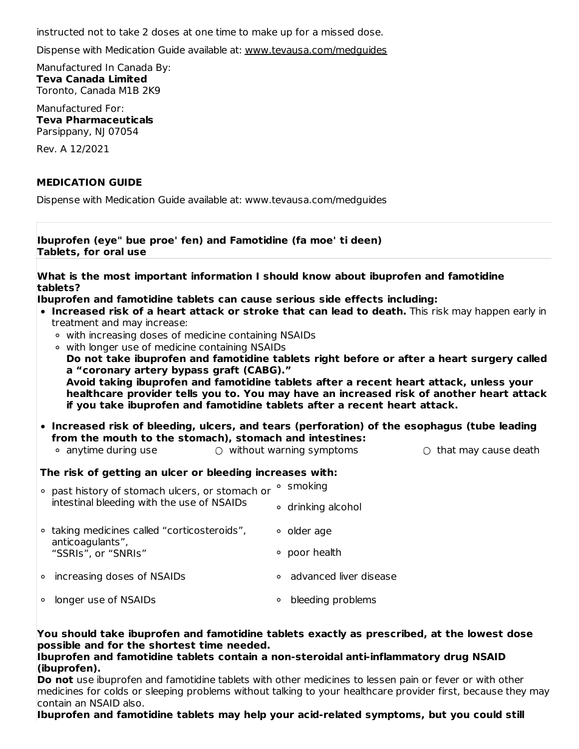instructed not to take 2 doses at one time to make up for a missed dose.

Dispense with Medication Guide available at: www.tevausa.com/medguides

Manufactured In Canada By: **Teva Canada Limited** Toronto, Canada M1B 2K9

Manufactured For: **Teva Pharmaceuticals** Parsippany, NJ 07054

Rev. A 12/2021

#### **MEDICATION GUIDE**

Dispense with Medication Guide available at: www.tevausa.com/medguides

| Ibuprofen (eye" bue proe' fen) and Famotidine (fa moe' ti deen)<br>Tablets, for oral use                                                                                                                                                                                                                                                                                                                                                                                                                                                                       |                                                                                                                                                                  |  |  |  |  |
|----------------------------------------------------------------------------------------------------------------------------------------------------------------------------------------------------------------------------------------------------------------------------------------------------------------------------------------------------------------------------------------------------------------------------------------------------------------------------------------------------------------------------------------------------------------|------------------------------------------------------------------------------------------------------------------------------------------------------------------|--|--|--|--|
| tablets?                                                                                                                                                                                                                                                                                                                                                                                                                                                                                                                                                       | What is the most important information I should know about ibuprofen and famotidine                                                                              |  |  |  |  |
| Ibuprofen and famotidine tablets can cause serious side effects including:<br>. Increased risk of a heart attack or stroke that can lead to death. This risk may happen early in<br>treatment and may increase:<br>• with increasing doses of medicine containing NSAIDs<br>○ with longer use of medicine containing NSAIDs<br>Do not take ibuprofen and famotidine tablets right before or after a heart surgery called<br>a "coronary artery bypass graft (CABG)."<br>Avoid taking ibuprofen and famotidine tablets after a recent heart attack, unless your |                                                                                                                                                                  |  |  |  |  |
| if you take ibuprofen and famotidine tablets after a recent heart attack.                                                                                                                                                                                                                                                                                                                                                                                                                                                                                      | healthcare provider tells you to. You may have an increased risk of another heart attack                                                                         |  |  |  |  |
| from the mouth to the stomach), stomach and intestines:<br>• anytime during use                                                                                                                                                                                                                                                                                                                                                                                                                                                                                | • Increased risk of bleeding, ulcers, and tears (perforation) of the esophagus (tube leading<br>$\circ$ without warning symptoms<br>$\circ$ that may cause death |  |  |  |  |
| The risk of getting an ulcer or bleeding increases with:                                                                                                                                                                                                                                                                                                                                                                                                                                                                                                       |                                                                                                                                                                  |  |  |  |  |
| • past history of stomach ulcers, or stomach or<br>intestinal bleeding with the use of NSAIDs                                                                                                                                                                                                                                                                                                                                                                                                                                                                  | <sup>o</sup> smoking<br>∘ drinking alcohol                                                                                                                       |  |  |  |  |
| ○ taking medicines called "corticosteroids",<br>anticoagulants",<br>"SSRIs", or "SNRIs"                                                                                                                                                                                                                                                                                                                                                                                                                                                                        | • older age<br>∘ poor health                                                                                                                                     |  |  |  |  |
| increasing doses of NSAIDs<br>$\circ$                                                                                                                                                                                                                                                                                                                                                                                                                                                                                                                          | • advanced liver disease                                                                                                                                         |  |  |  |  |
| longer use of NSAIDs<br>$\circ$                                                                                                                                                                                                                                                                                                                                                                                                                                                                                                                                | bleeding problems<br>$\circ$                                                                                                                                     |  |  |  |  |

#### **You should take ibuprofen and famotidine tablets exactly as prescribed, at the lowest dose possible and for the shortest time needed.**

#### **Ibuprofen and famotidine tablets contain a non-steroidal anti-inflammatory drug NSAID (ibuprofen).**

**Do not** use ibuprofen and famotidine tablets with other medicines to lessen pain or fever or with other medicines for colds or sleeping problems without talking to your healthcare provider first, because they may contain an NSAID also.

# **Ibuprofen and famotidine tablets may help your acid-related symptoms, but you could still**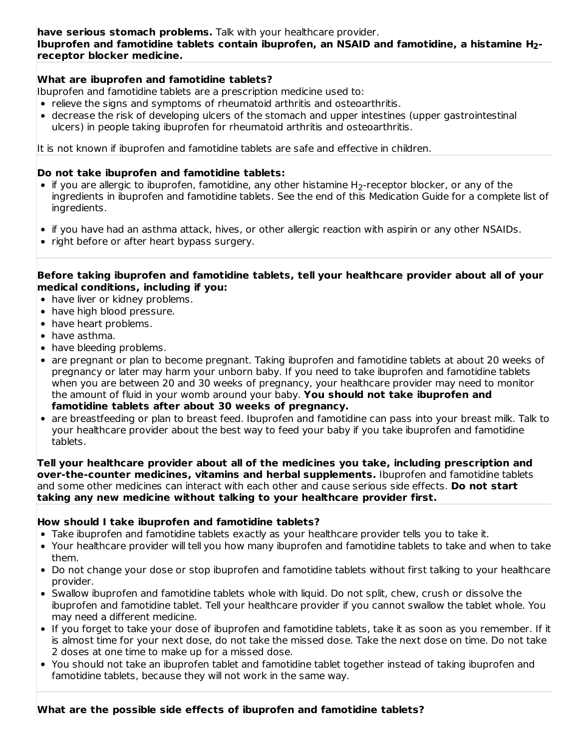### **What are ibuprofen and famotidine tablets?**

Ibuprofen and famotidine tablets are a prescription medicine used to:

- relieve the signs and symptoms of rheumatoid arthritis and osteoarthritis.
- decrease the risk of developing ulcers of the stomach and upper intestines (upper gastrointestinal ulcers) in people taking ibuprofen for rheumatoid arthritis and osteoarthritis.

It is not known if ibuprofen and famotidine tablets are safe and effective in children.

#### **Do not take ibuprofen and famotidine tablets:**

- if you are allergic to ibuprofen, famotidine, any other histamine  $\mathsf{H}_2$ -receptor blocker, or any of the ingredients in ibuprofen and famotidine tablets. See the end of this Medication Guide for a complete list of ingredients.
- if you have had an asthma attack, hives, or other allergic reaction with aspirin or any other NSAIDs.
- right before or after heart bypass surgery.

#### **Before taking ibuprofen and famotidine tablets, tell your healthcare provider about all of your medical conditions, including if you:**

- have liver or kidney problems.
- have high blood pressure.
- have heart problems.
- have asthma.
- have bleeding problems.
- are pregnant or plan to become pregnant. Taking ibuprofen and famotidine tablets at about 20 weeks of pregnancy or later may harm your unborn baby. If you need to take ibuprofen and famotidine tablets when you are between 20 and 30 weeks of pregnancy, your healthcare provider may need to monitor the amount of fluid in your womb around your baby. **You should not take ibuprofen and famotidine tablets after about 30 weeks of pregnancy.**
- are breastfeeding or plan to breast feed. Ibuprofen and famotidine can pass into your breast milk. Talk to your healthcare provider about the best way to feed your baby if you take ibuprofen and famotidine tablets.

**Tell your healthcare provider about all of the medicines you take, including prescription and over-the-counter medicines, vitamins and herbal supplements.** Ibuprofen and famotidine tablets and some other medicines can interact with each other and cause serious side effects. **Do not start taking any new medicine without talking to your healthcare provider first.**

### **How should I take ibuprofen and famotidine tablets?**

- Take ibuprofen and famotidine tablets exactly as your healthcare provider tells you to take it.
- Your healthcare provider will tell you how many ibuprofen and famotidine tablets to take and when to take them.
- Do not change your dose or stop ibuprofen and famotidine tablets without first talking to your healthcare provider.
- Swallow ibuprofen and famotidine tablets whole with liquid. Do not split, chew, crush or dissolve the ibuprofen and famotidine tablet. Tell your healthcare provider if you cannot swallow the tablet whole. You may need a different medicine.
- If you forget to take your dose of ibuprofen and famotidine tablets, take it as soon as you remember. If it is almost time for your next dose, do not take the missed dose. Take the next dose on time. Do not take 2 doses at one time to make up for a missed dose.
- You should not take an ibuprofen tablet and famotidine tablet together instead of taking ibuprofen and famotidine tablets, because they will not work in the same way.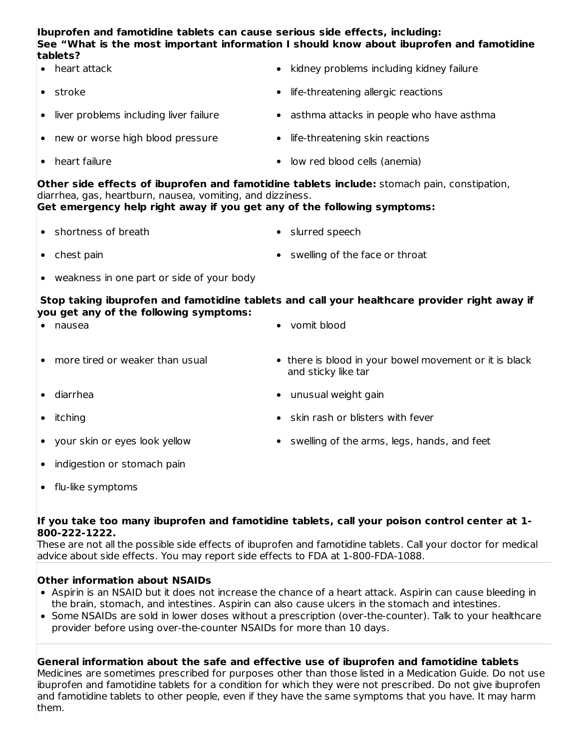#### **Ibuprofen and famotidine tablets can cause serious side effects, including: See "What is the most important information I should know about ibuprofen and famotidine tablets?**

- heart attack hidrogen and the settlem of the kidney problems including kidney failure  $\bullet$
- $\bullet$ stroke **life-threatening allergic reactions**

 $\bullet$ 

- liver problems including liver failure **and the settima attacks in people who have asthma**  $\bullet$
- new or worse high blood pressure **light is a vertice** life-threatening skin reactions
	- heart failure low red blood cells (anemia)

**Other side effects of ibuprofen and famotidine tablets include:** stomach pain, constipation, diarrhea, gas, heartburn, nausea, vomiting, and dizziness.

## **Get emergency help right away if you get any of the following symptoms:**

- shortness of breath slurred speech  $\bullet$
- chest pain swelling of the face or throat
- weakness in one part or side of your body

**Stop taking ibuprofen and famotidine tablets and call your healthcare provider right away if you get any of the following symptoms:**

| $\bullet$ | nausea                            | • vomit blood                                                                 |
|-----------|-----------------------------------|-------------------------------------------------------------------------------|
|           | • more tired or weaker than usual | • there is blood in your bowel movement or it is black<br>and sticky like tar |

- diarrhea **unusual weight gain**  $\bullet$
- 

 $\bullet$ 

- itching skin rash or blisters with fever
- your skin or eyes look yellow sawelling of the arms, legs, hands, and feet
- indigestion or stomach pain  $\bullet$
- flu-like symptoms  $\bullet$

#### **If you take too many ibuprofen and famotidine tablets, call your poison control center at 1- 800-222-1222.**

These are not all the possible side effects of ibuprofen and famotidine tablets. Call your doctor for medical advice about side effects. You may report side effects to FDA at 1-800-FDA-1088.

### **Other information about NSAIDs**

- Aspirin is an NSAID but it does not increase the chance of a heart attack. Aspirin can cause bleeding in the brain, stomach, and intestines. Aspirin can also cause ulcers in the stomach and intestines.
- Some NSAIDs are sold in lower doses without a prescription (over-the-counter). Talk to your healthcare provider before using over-the-counter NSAIDs for more than 10 days.

### **General information about the safe and effective use of ibuprofen and famotidine tablets**

Medicines are sometimes prescribed for purposes other than those listed in a Medication Guide. Do not use ibuprofen and famotidine tablets for a condition for which they were not prescribed. Do not give ibuprofen and famotidine tablets to other people, even if they have the same symptoms that you have. It may harm them.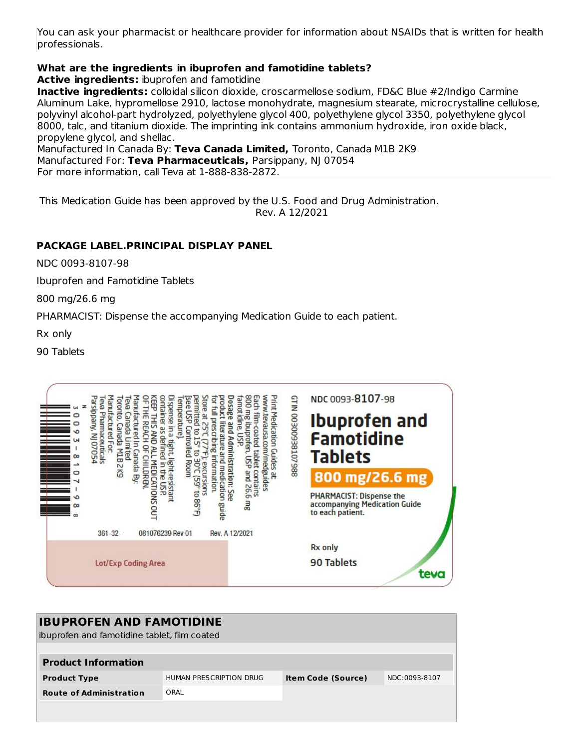You can ask your pharmacist or healthcare provider for information about NSAIDs that is written for health professionals.

# **What are the ingredients in ibuprofen and famotidine tablets?**

**Active ingredients:** ibuprofen and famotidine

**Inactive ingredients:** colloidal silicon dioxide, croscarmellose sodium, FD&C Blue #2/Indigo Carmine Aluminum Lake, hypromellose 2910, lactose monohydrate, magnesium stearate, microcrystalline cellulose, polyvinyl alcohol-part hydrolyzed, polyethylene glycol 400, polyethylene glycol 3350, polyethylene glycol 8000, talc, and titanium dioxide. The imprinting ink contains ammonium hydroxide, iron oxide black, propylene glycol, and shellac.

Manufactured In Canada By: **Teva Canada Limited,** Toronto, Canada M1B 2K9 Manufactured For: **Teva Pharmaceuticals,** Parsippany, NJ 07054 For more information, call Teva at 1-888-838-2872.

This Medication Guide has been approved by the U.S. Food and Drug Administration. Rev. A 12/2021

# **PACKAGE LABEL.PRINCIPAL DISPLAY PANEL**

NDC 0093-8107-98

Ibuprofen and Famotidine Tablets

800 mg/26.6 mg

PHARMACIST: Dispense the accompanying Medication Guide to each patient.

Rx only

90 Tablets



| <b>IBUPROFEN AND FAMOTIDINE</b><br>libuprofen and famotidine tablet, film coated |                         |                           |               |  |
|----------------------------------------------------------------------------------|-------------------------|---------------------------|---------------|--|
|                                                                                  |                         |                           |               |  |
| <b>Product Information</b>                                                       |                         |                           |               |  |
| <b>Product Type</b>                                                              | HUMAN PRESCRIPTION DRUG | <b>Item Code (Source)</b> | NDC:0093-8107 |  |
| <b>Route of Administration</b>                                                   | ORAL                    |                           |               |  |
|                                                                                  |                         |                           |               |  |
|                                                                                  |                         |                           |               |  |